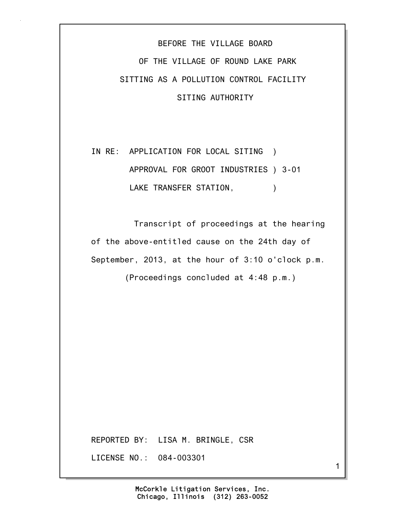## BEFORE THE VILLAGE BOARD OF THE VILLAGE OF ROUND LAKE PARK SITTING AS A POLLUTION CONTROL FACILITY SITING AUTHORITY

## IN RE: APPLICATION FOR LOCAL SITING ) APPROVAL FOR GROOT INDUSTRIES ) 3-01 LAKE TRANSFER STATION,  $)$

 Transcript of proceedings at the hearing of the above-entitled cause on the 24th day of September, 2013, at the hour of 3:10 o'clock p.m.

(Proceedings concluded at 4:48 p.m.)

REPORTED BY: LISA M. BRINGLE, CSR

LICENSE NO.: 084-003301

Chicago, Illinois (312) 263-0052 McCorkle Litigation Services, Inc. 1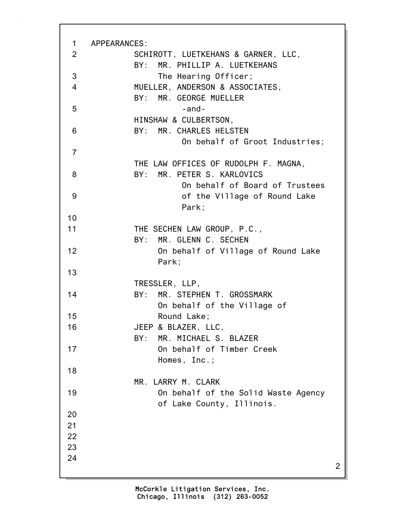| $\mathbf 1$    | APPEARANCES:                                   |
|----------------|------------------------------------------------|
| 2              | SCHIROTT, LUETKEHANS & GARNER, LLC,            |
|                | BY: MR. PHILLIP A. LUETKEHANS                  |
| 3              | The Hearing Officer;                           |
| $\overline{4}$ | MUELLER, ANDERSON & ASSOCIATES,                |
|                | BY: MR. GEORGE MUELLER                         |
| 5              | $-$ and $-$                                    |
|                | HINSHAW & CULBERTSON,                          |
| 6              | BY: MR. CHARLES HELSTEN                        |
| $\overline{7}$ | On behalf of Groot Industries;                 |
|                | THE LAW OFFICES OF RUDOLPH F. MAGNA,           |
| 8              | BY: MR. PETER S. KARLOVICS                     |
|                | On behalf of Board of Trustees                 |
| 9              | of the Village of Round Lake                   |
|                | Park;                                          |
| 10             |                                                |
| 11             | THE SECHEN LAW GROUP, P.C.,                    |
|                | BY: MR. GLENN C. SECHEN                        |
| 12             | On behalf of Village of Round Lake             |
|                | Park;                                          |
| 13             |                                                |
| 14             | TRESSLER, LLP,<br>BY: MR. STEPHEN T. GROSSMARK |
|                | On behalf of the Village of                    |
| 15             | Round Lake;                                    |
| 16             | JEEP & BLAZER, LLC,                            |
|                | MR. MICHAEL S. BLAZER<br>BY:                   |
| 17             | On behalf of Timber Creek                      |
|                | Homes, Inc.;                                   |
| 18             |                                                |
|                | MR. LARRY M. CLARK                             |
| 19             | On behalf of the Solid Waste Agency            |
|                | of Lake County, Illinois.                      |
| 20             |                                                |
| 21             |                                                |
| 22             |                                                |
| 23             |                                                |
| 24             | 2                                              |
|                |                                                |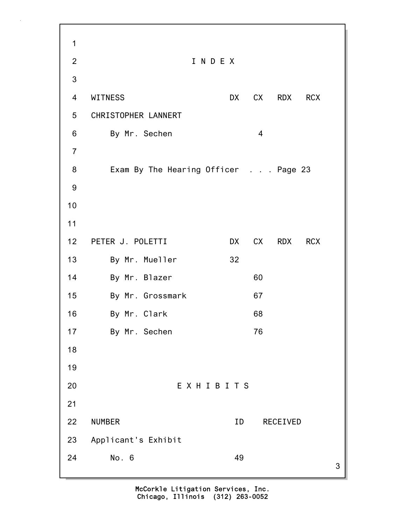3 1 2 I N D E X 3 4 WITNESS DX CX RDX RCX 5 CHRISTOPHER LANNERT 6 By Mr. Sechen 4 7 8 Exam By The Hearing Officer . . . Page 23 9 10 11 12 PETER J. POLETTI DX CX RDX RCX 13 By Mr. Mueller 32 14 By Mr. Blazer 60 15 By Mr. Grossmark 67 16 By Mr. Clark 68 17 By Mr. Sechen 76 18 19 20 E X H I B I T S 21 22 NUMBER ID RECEIVED 23 Applicant's Exhibit 24 No. 6 49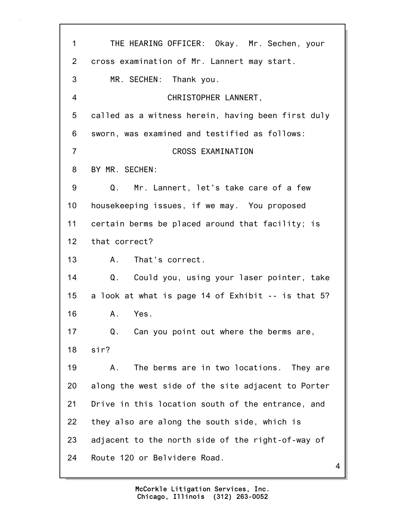| 1              | THE HEARING OFFICER: Okay. Mr. Sechen, your        |
|----------------|----------------------------------------------------|
| $\overline{2}$ | cross examination of Mr. Lannert may start.        |
| 3              | MR. SECHEN: Thank you.                             |
| $\overline{4}$ | CHRISTOPHER LANNERT,                               |
| 5              | called as a witness herein, having been first duly |
| 6              | sworn, was examined and testified as follows:      |
| $\overline{7}$ | CROSS EXAMINATION                                  |
| 8              | BY MR. SECHEN:                                     |
| 9              | Mr. Lannert, let's take care of a few<br>Q.        |
| 10             | housekeeping issues, if we may. You proposed       |
| 11             | certain berms be placed around that facility; is   |
| 12             | that correct?                                      |
| 13             | That's correct.<br>A.                              |
| 14             | Q.<br>Could you, using your laser pointer, take    |
| 15             | a look at what is page 14 of Exhibit -- is that 5? |
| 16             | Yes.<br>Α.                                         |
| 17             | Q. Can you point out where the berms are,          |
| 18             | sir?                                               |
| 19             | The berms are in two locations. They are<br>Α.     |
| 20             | along the west side of the site adjacent to Porter |
| 21             | Drive in this location south of the entrance, and  |
| 22             | they also are along the south side, which is       |
| 23             | adjacent to the north side of the right-of-way of  |
| 24             | Route 120 or Belvidere Road.                       |

4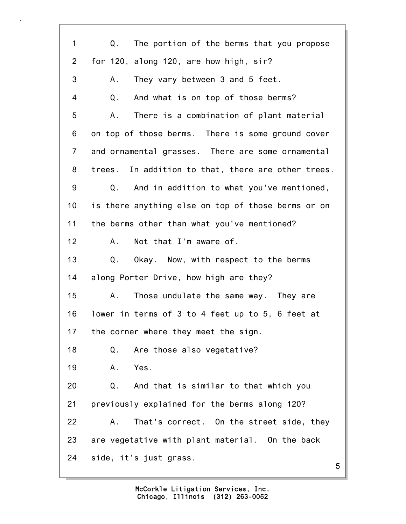| 1              | Q.<br>The portion of the berms that you propose    |
|----------------|----------------------------------------------------|
| $\overline{2}$ | for 120, along 120, are how high, sir?             |
| 3              | They vary between 3 and 5 feet.<br>А.              |
| 4              | And what is on top of those berms?<br>Q.           |
| 5              | There is a combination of plant material<br>Α.     |
| 6              | on top of those berms. There is some ground cover  |
| $\overline{7}$ | and ornamental grasses. There are some ornamental  |
| 8              | trees. In addition to that, there are other trees. |
| 9              | And in addition to what you've mentioned,<br>Q.    |
| 10             | is there anything else on top of those berms or on |
| 11             | the berms other than what you've mentioned?        |
| 12             | Not that I'm aware of.<br>А.                       |
| 13             | Q.<br>Okay. Now, with respect to the berms         |
| 14             | along Porter Drive, how high are they?             |
| 15             | Those undulate the same way. They are<br>Α.        |
| 16             | lower in terms of 3 to 4 feet up to 5, 6 feet at   |
| 17             | the corner where they meet the sign.               |
| 18             | Are those also vegetative?<br>Q.                   |
| 19             | Yes.<br>Α.                                         |
| 20             | Q.<br>And that is similar to that which you        |
| 21             | previously explained for the berms along 120?      |
| 22             | That's correct. On the street side, they<br>Α.     |
| 23             | are vegetative with plant material. On the back    |
| 24             | side, it's just grass.<br>5                        |
|                |                                                    |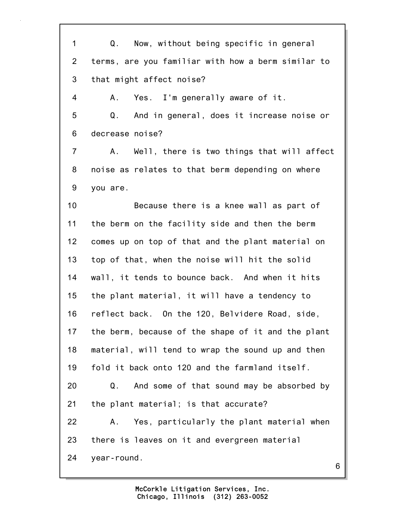1 Q. Now, without being specific in general 2 terms, are you familiar with how a berm similar to 3 that might affect noise? 4 A. Yes. I'm generally aware of it. 5 Q. And in general, does it increase noise or 6 decrease noise? 7 A. Well, there is two things that will affect 8 noise as relates to that berm depending on where 9 you are. 10 Because there is a knee wall as part of 11 the berm on the facility side and then the berm 12 comes up on top of that and the plant material on 13 top of that, when the noise will hit the solid 14 wall, it tends to bounce back. And when it hits 15 the plant material, it will have a tendency to 16 reflect back. On the 120, Belvidere Road, side, 17 the berm, because of the shape of it and the plant 18 material, will tend to wrap the sound up and then 19 fold it back onto 120 and the farmland itself. 20 Q. And some of that sound may be absorbed by 21 the plant material; is that accurate? 22 A. Yes, particularly the plant material when 23 there is leaves on it and evergreen material 24 year-round.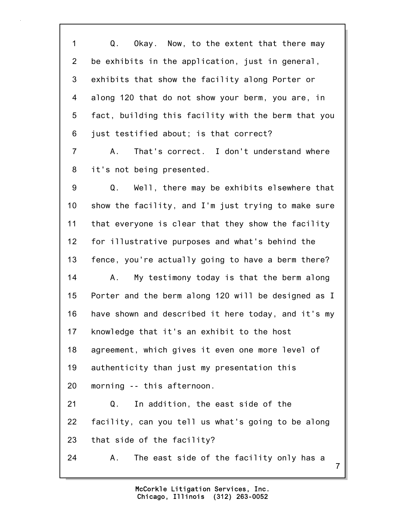1 Q. Okay. Now, to the extent that there may 2 be exhibits in the application, just in general, 3 exhibits that show the facility along Porter or 4 along 120 that do not show your berm, you are, in 5 fact, building this facility with the berm that you 6 just testified about; is that correct? 7 A. That's correct. I don't understand where 8 it's not being presented. 9 Q. Well, there may be exhibits elsewhere that 10 show the facility, and I'm just trying to make sure 11 that everyone is clear that they show the facility 12 for illustrative purposes and what's behind the 13 fence, you're actually going to have a berm there? 14 A. My testimony today is that the berm along 15 Porter and the berm along 120 will be designed as I 16 have shown and described it here today, and it's my 17 knowledge that it's an exhibit to the host 18 agreement, which gives it even one more level of 19 authenticity than just my presentation this 20 morning -- this afternoon. 21 Q. In addition, the east side of the 22 facility, can you tell us what's going to be along 23 that side of the facility? 24 A. The east side of the facility only has a

> Chicago, Illinois (312) 263-0052 McCorkle Litigation Services, Inc.

7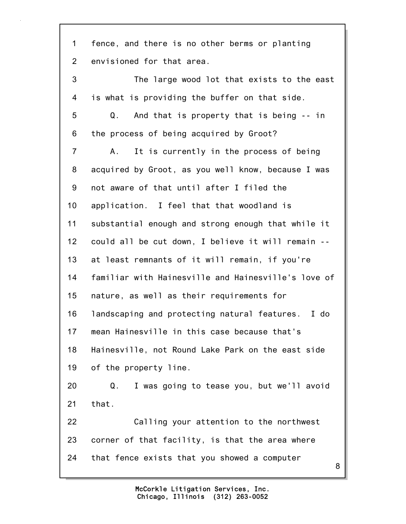8 1 fence, and there is no other berms or planting 2 envisioned for that area. 3 The large wood lot that exists to the east 4 is what is providing the buffer on that side. 5 Q. And that is property that is being -- in 6 the process of being acquired by Groot? 7 A. It is currently in the process of being 8 acquired by Groot, as you well know, because I was 9 not aware of that until after I filed the 10 application. I feel that that woodland is 11 substantial enough and strong enough that while it 12 could all be cut down, I believe it will remain -- 13 at least remnants of it will remain, if you're 14 familiar with Hainesville and Hainesville's love of 15 nature, as well as their requirements for 16 landscaping and protecting natural features. I do 17 mean Hainesville in this case because that's 18 Hainesville, not Round Lake Park on the east side 19 of the property line. 20 Q. I was going to tease you, but we'll avoid 21 that. 22 Calling your attention to the northwest 23 corner of that facility, is that the area where 24 that fence exists that you showed a computer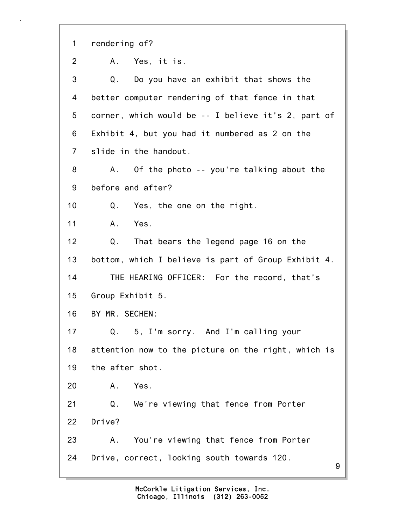9 1 rendering of? 2 A. Yes, it is. 3 Q. Do you have an exhibit that shows the 4 better computer rendering of that fence in that 5 corner, which would be -- I believe it's 2, part of 6 Exhibit 4, but you had it numbered as 2 on the 7 slide in the handout. 8 A. Of the photo -- you're talking about the 9 before and after? 10 Q. Yes, the one on the right. 11 A. Yes. 12 Q. That bears the legend page 16 on the 13 bottom, which I believe is part of Group Exhibit 4. 14 THE HEARING OFFICER: For the record, that's 15 Group Exhibit 5. 16 BY MR. SECHEN: 17 Q. 5, I'm sorry. And I'm calling your 18 attention now to the picture on the right, which is 19 the after shot. 20 A. Yes. 21 Q. We're viewing that fence from Porter 22 Drive? 23 A. You're viewing that fence from Porter 24 Drive, correct, looking south towards 120.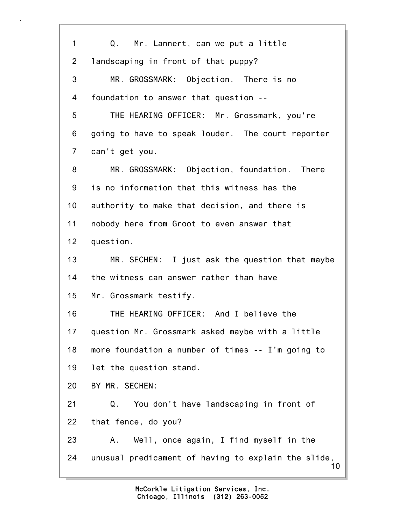10 1 Q. Mr. Lannert, can we put a little 2 landscaping in front of that puppy? 3 MR. GROSSMARK: Objection. There is no 4 foundation to answer that question -- 5 THE HEARING OFFICER: Mr. Grossmark, you're 6 going to have to speak louder. The court reporter 7 can't get you. 8 MR. GROSSMARK: Objection, foundation. There 9 is no information that this witness has the 10 authority to make that decision, and there is 11 nobody here from Groot to even answer that 12 question. 13 MR. SECHEN: I just ask the question that maybe 14 the witness can answer rather than have 15 Mr. Grossmark testify. 16 THE HEARING OFFICER: And I believe the 17 question Mr. Grossmark asked maybe with a little 18 more foundation a number of times -- I'm going to 19 let the question stand. 20 BY MR. SECHEN: 21 Q. You don't have landscaping in front of 22 that fence, do you? 23 A. Well, once again, I find myself in the 24 unusual predicament of having to explain the slide,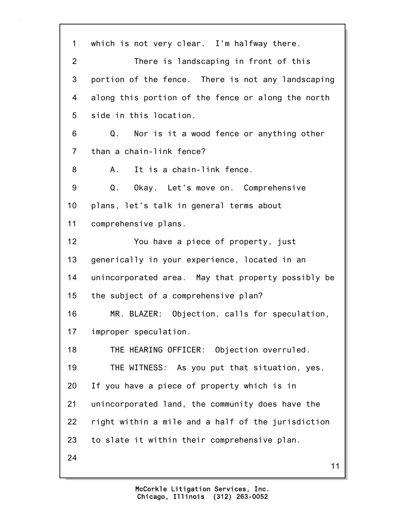1 which is not very clear. I'm halfway there. 2 There is landscaping in front of this 3 portion of the fence. There is not any landscaping 4 along this portion of the fence or along the north 5 side in this location. 6 Q. Nor is it a wood fence or anything other 7 than a chain-link fence? 8 A. It is a chain-link fence. 9 Q. Okay. Let's move on. Comprehensive 10 plans, let's talk in general terms about 11 comprehensive plans. 12 You have a piece of property, just 13 generically in your experience, located in an 14 unincorporated area. May that property possibly be 15 the subject of a comprehensive plan? 16 MR. BLAZER: Objection, calls for speculation, 17 improper speculation. 18 THE HEARING OFFICER: Objection overruled. 19 THE WITNESS: As you put that situation, yes. 20 If you have a piece of property which is in 21 unincorporated land, the community does have the 22 right within a mile and a half of the jurisdiction 23 to slate it within their comprehensive plan. 24

11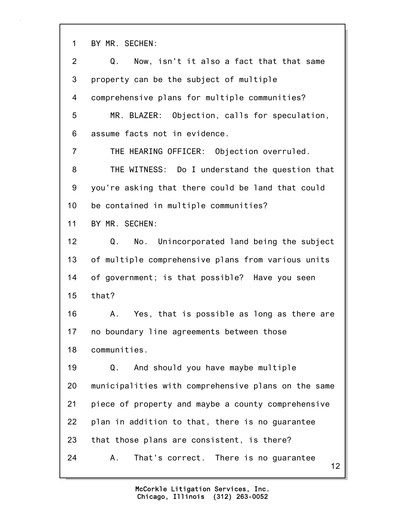1 BY MR. SECHEN:

| $\overline{2}$ | Now, isn't it also a fact that that same<br>Q.      |
|----------------|-----------------------------------------------------|
| 3              | property can be the subject of multiple             |
| 4              | comprehensive plans for multiple communities?       |
| 5              | MR. BLAZER: Objection, calls for speculation,       |
| 6              | assume facts not in evidence.                       |
| $\overline{7}$ | THE HEARING OFFICER: Objection overruled.           |
| 8              | THE WITNESS: Do I understand the question that      |
| 9              | you're asking that there could be land that could   |
| 10             | be contained in multiple communities?               |
| 11             | BY MR. SECHEN:                                      |
| 12             | No. Unincorporated land being the subject<br>Q.     |
| 13             | of multiple comprehensive plans from various units  |
| 14             | of government; is that possible? Have you seen      |
| 15             | that?                                               |
| 16             | Yes, that is possible as long as there are<br>A.,   |
| 17             | no boundary line agreements between those           |
| 18             | communities.                                        |
| 19             | And should you have maybe multiple<br>Q.            |
| 20             | municipalities with comprehensive plans on the same |
| 21             | piece of property and maybe a county comprehensive  |
| 22             | plan in addition to that, there is no guarantee     |
| 23             | that those plans are consistent, is there?          |
| 24             | That's correct. There is no guarantee<br>А.<br>12   |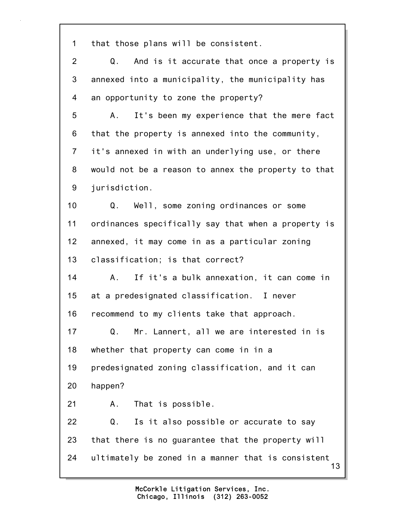1 that those plans will be consistent.

13 2 Q. And is it accurate that once a property is 3 annexed into a municipality, the municipality has 4 an opportunity to zone the property? 5 A. It's been my experience that the mere fact 6 that the property is annexed into the community, 7 it's annexed in with an underlying use, or there 8 would not be a reason to annex the property to that 9 jurisdiction. 10 Q. Well, some zoning ordinances or some 11 ordinances specifically say that when a property is 12 annexed, it may come in as a particular zoning 13 classification; is that correct? 14 A. If it's a bulk annexation, it can come in 15 at a predesignated classification. I never 16 recommend to my clients take that approach. 17 Q. Mr. Lannert, all we are interested in is 18 whether that property can come in in a 19 predesignated zoning classification, and it can 20 happen? 21 A. That is possible. 22 Q. Is it also possible or accurate to say 23 that there is no guarantee that the property will 24 ultimately be zoned in a manner that is consistent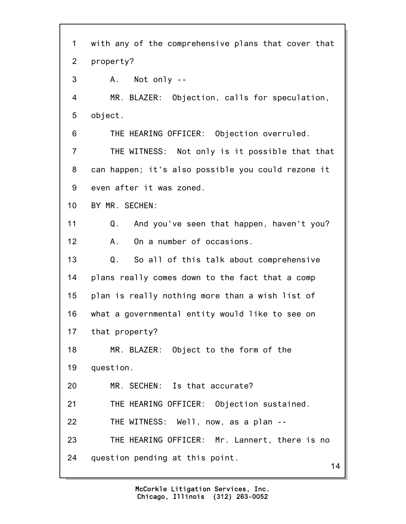14 1 with any of the comprehensive plans that cover that 2 property? 3 A. Not only -- 4 MR. BLAZER: Objection, calls for speculation, 5 object. 6 THE HEARING OFFICER: Objection overruled. 7 THE WITNESS: Not only is it possible that that 8 can happen; it's also possible you could rezone it 9 even after it was zoned. 10 BY MR. SECHEN: 11 Q. And you've seen that happen, haven't you? 12 A. On a number of occasions. 13 Q. So all of this talk about comprehensive 14 plans really comes down to the fact that a comp 15 plan is really nothing more than a wish list of 16 what a governmental entity would like to see on 17 that property? 18 MR. BLAZER: Object to the form of the 19 question. 20 MR. SECHEN: Is that accurate? 21 THE HEARING OFFICER: Objection sustained. 22 THE WITNESS: Well, now, as a plan -- 23 THE HEARING OFFICER: Mr. Lannert, there is no 24 question pending at this point.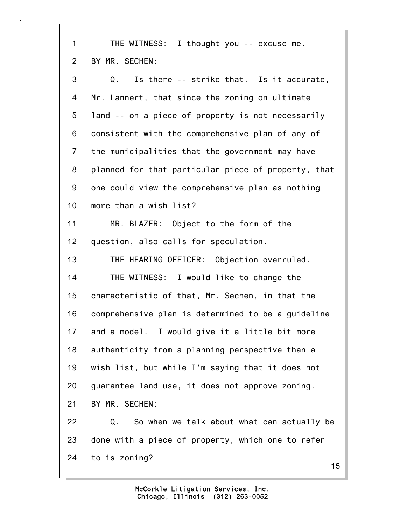15 1 THE WITNESS: I thought you -- excuse me. 2 BY MR. SECHEN: 3 Q. Is there -- strike that. Is it accurate, 4 Mr. Lannert, that since the zoning on ultimate 5 land -- on a piece of property is not necessarily 6 consistent with the comprehensive plan of any of 7 the municipalities that the government may have 8 planned for that particular piece of property, that 9 one could view the comprehensive plan as nothing 10 more than a wish list? 11 MR. BLAZER: Object to the form of the 12 question, also calls for speculation. 13 THE HEARING OFFICER: Objection overruled. 14 THE WITNESS: I would like to change the 15 characteristic of that, Mr. Sechen, in that the 16 comprehensive plan is determined to be a guideline 17 and a model. I would give it a little bit more 18 authenticity from a planning perspective than a 19 wish list, but while I'm saying that it does not 20 guarantee land use, it does not approve zoning. 21 BY MR. SECHEN: 22 Q. So when we talk about what can actually be 23 done with a piece of property, which one to refer 24 to is zoning?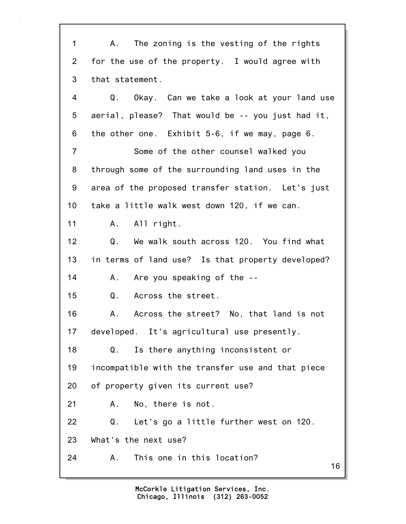16 1 A. The zoning is the vesting of the rights 2 for the use of the property. I would agree with 3 that statement. 4 Q. Okay. Can we take a look at your land use 5 aerial, please? That would be -- you just had it, 6 the other one. Exhibit 5-6, if we may, page 6. 7 Some of the other counsel walked you 8 through some of the surrounding land uses in the 9 area of the proposed transfer station. Let's just 10 take a little walk west down 120, if we can. 11 A. All right. 12 Q. We walk south across 120. You find what 13 in terms of land use? Is that property developed? 14 A. Are you speaking of the --15 Q. Across the street. 16 A. Across the street? No, that land is not 17 developed. It's agricultural use presently. 18 Q. Is there anything inconsistent or 19 incompatible with the transfer use and that piece 20 of property given its current use? 21 A. No, there is not. 22 Q. Let's go a little further west on 120. 23 What's the next use? 24 A. This one in this location?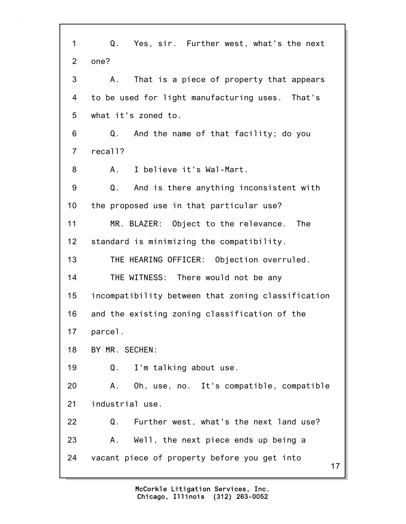17 1 Q. Yes, sir. Further west, what's the next 2 one? 3 A. That is a piece of property that appears 4 to be used for light manufacturing uses. That's 5 what it's zoned to. 6 Q. And the name of that facility; do you 7 recall? 8 A. I believe it's Wal-Mart. 9 Q. And is there anything inconsistent with 10 the proposed use in that particular use? 11 MR. BLAZER: Object to the relevance. The 12 standard is minimizing the compatibility. 13 THE HEARING OFFICER: Objection overruled. 14 THE WITNESS: There would not be any 15 incompatibility between that zoning classification 16 and the existing zoning classification of the 17 parcel. 18 BY MR. SECHEN: 19 Q. I'm talking about use. 20 A. Oh, use, no. It's compatible, compatible 21 industrial use. 22 Q. Further west, what's the next land use? 23 A. Well, the next piece ends up being a 24 vacant piece of property before you get into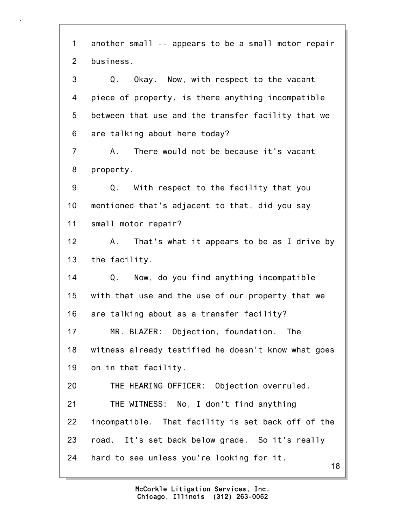18 1 another small -- appears to be a small motor repair 2 business. 3 Q. Okay. Now, with respect to the vacant 4 piece of property, is there anything incompatible 5 between that use and the transfer facility that we 6 are talking about here today? 7 A. There would not be because it's vacant 8 property. 9 Q. With respect to the facility that you 10 mentioned that's adjacent to that, did you say 11 small motor repair? 12 A. That's what it appears to be as I drive by 13 the facility. 14 Q. Now, do you find anything incompatible 15 with that use and the use of our property that we 16 are talking about as a transfer facility? 17 MR. BLAZER: Objection, foundation. The 18 witness already testified he doesn't know what goes 19 on in that facility. 20 THE HEARING OFFICER: Objection overruled. 21 THE WITNESS: No, I don't find anything 22 incompatible. That facility is set back off of the 23 road. It's set back below grade. So it's really 24 hard to see unless you're looking for it.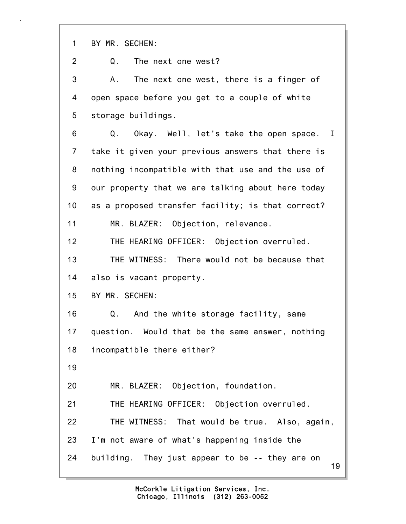1 BY MR. SECHEN:

2 Q. The next one west?

3 A. The next one west, there is a finger of 4 open space before you get to a couple of white 5 storage buildings.

6 Q. Okay. Well, let's take the open space. I 7 take it given your previous answers that there is 8 nothing incompatible with that use and the use of 9 our property that we are talking about here today 10 as a proposed transfer facility; is that correct? 11 MR. BLAZER: Objection, relevance.

12 THE HEARING OFFICER: Objection overruled.

13 THE WITNESS: There would not be because that 14 also is vacant property.

15 BY MR. SECHEN:

16 Q. And the white storage facility, same 17 question. Would that be the same answer, nothing 18 incompatible there either?

19

20 MR. BLAZER: Objection, foundation.

21 THE HEARING OFFICER: Objection overruled.

22 THE WITNESS: That would be true. Also, again, 23 I'm not aware of what's happening inside the 24 building. They just appear to be -- they are on

19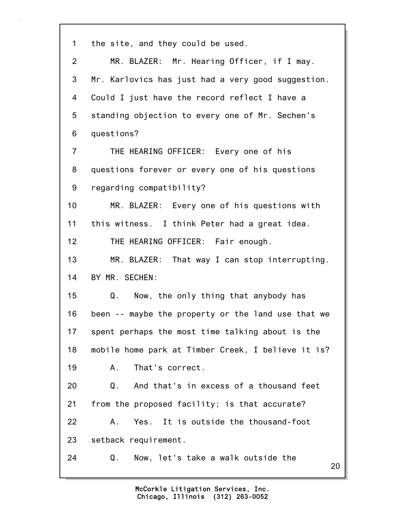| 1               | the site, and they could be used.                  |
|-----------------|----------------------------------------------------|
| $\overline{2}$  | MR. BLAZER: Mr. Hearing Officer, if I may.         |
| 3               | Mr. Karlovics has just had a very good suggestion. |
| 4               | Could I just have the record reflect I have a      |
| 5               | standing objection to every one of Mr. Sechen's    |
| 6               | questions?                                         |
| $\overline{7}$  | THE HEARING OFFICER: Every one of his              |
| 8               | questions forever or every one of his questions    |
| 9               | regarding compatibility?                           |
| 10 <sup>1</sup> | MR. BLAZER: Every one of his questions with        |
| 11              | this witness. I think Peter had a great idea.      |
| 12              | THE HEARING OFFICER: Fair enough.                  |
| 13              | MR. BLAZER: That way I can stop interrupting.      |
| 14              | BY MR. SECHEN:                                     |
| 15              | Q.<br>Now, the only thing that anybody has         |
| 16              | been -- maybe the property or the land use that we |
| 17              | spent perhaps the most time talking about is the   |
| 18              | mobile home park at Timber Creek, I believe it is? |
| 19              | That's correct.<br>Α.                              |
| 20              | And that's in excess of a thousand feet<br>Q.      |
| 21              | from the proposed facility; is that accurate?      |
| 22              | Yes. It is outside the thousand-foot<br>Α.         |
| 23              | setback requirement.                               |
| 24              | Q.<br>Now, let's take a walk outside the<br>20     |
|                 |                                                    |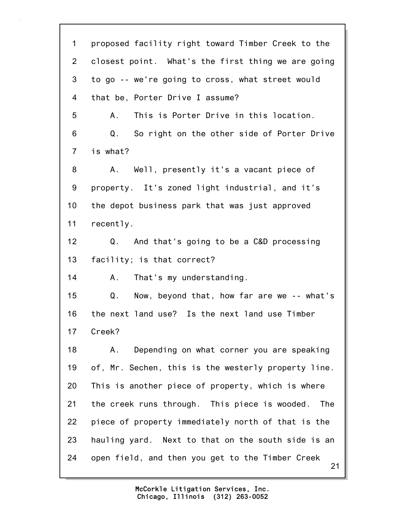21 1 proposed facility right toward Timber Creek to the 2 closest point. What's the first thing we are going 3 to go -- we're going to cross, what street would 4 that be, Porter Drive I assume? 5 A. This is Porter Drive in this location. 6 Q. So right on the other side of Porter Drive 7 is what? 8 A. Well, presently it's a vacant piece of 9 property. It's zoned light industrial, and it's 10 the depot business park that was just approved 11 recently. 12 Q. And that's going to be a C&D processing 13 facility; is that correct? 14 A. That's my understanding. 15 Q. Now, beyond that, how far are we -- what's 16 the next land use? Is the next land use Timber 17 Creek? 18 A. Depending on what corner you are speaking 19 of, Mr. Sechen, this is the westerly property line. 20 This is another piece of property, which is where 21 the creek runs through. This piece is wooded. The 22 piece of property immediately north of that is the 23 hauling yard. Next to that on the south side is an 24 open field, and then you get to the Timber Creek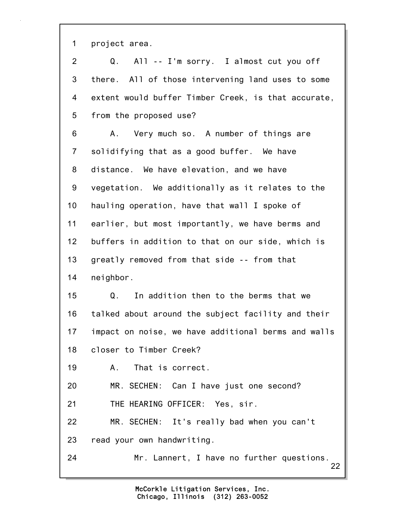1 project area.

22 2 Q. All -- I'm sorry. I almost cut you off 3 there. All of those intervening land uses to some 4 extent would buffer Timber Creek, is that accurate, 5 from the proposed use? 6 A. Very much so. A number of things are 7 solidifying that as a good buffer. We have 8 distance. We have elevation, and we have 9 vegetation. We additionally as it relates to the 10 hauling operation, have that wall I spoke of 11 earlier, but most importantly, we have berms and 12 buffers in addition to that on our side, which is 13 greatly removed from that side -- from that 14 neighbor. 15 Q. In addition then to the berms that we 16 talked about around the subject facility and their 17 impact on noise, we have additional berms and walls 18 closer to Timber Creek? 19 A. That is correct. 20 MR. SECHEN: Can I have just one second? 21 THE HEARING OFFICER: Yes, sir. 22 MR. SECHEN: It's really bad when you can't 23 read your own handwriting. 24 Mr. Lannert, I have no further questions.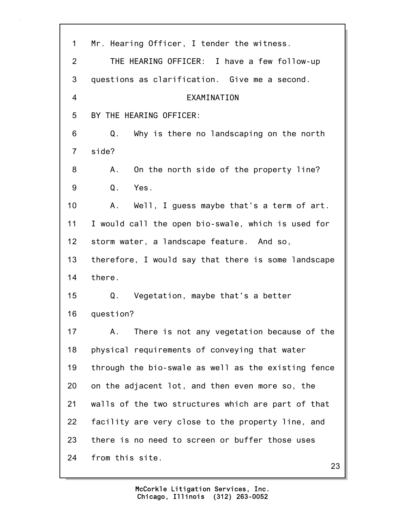| 1              | Mr. Hearing Officer, I tender the witness.          |
|----------------|-----------------------------------------------------|
| 2              | THE HEARING OFFICER: I have a few follow-up         |
| 3              | questions as clarification. Give me a second.       |
| $\overline{4}$ | EXAMINATION                                         |
| 5              | BY THE HEARING OFFICER:                             |
| 6              | Why is there no landscaping on the north<br>Q.      |
| $\overline{7}$ | side?                                               |
| 8              | On the north side of the property line?<br>Α.       |
| 9              | Q.<br>Yes.                                          |
| 10             | Well, I guess maybe that's a term of art.<br>A.     |
| 11             | I would call the open bio-swale, which is used for  |
| 12             | storm water, a landscape feature. And so,           |
| 13             | therefore, I would say that there is some landscape |
| 14             | there.                                              |
| 15             | Vegetation, maybe that's a better<br>Q.             |
| 16             | question?                                           |
| 17             | There is not any vegetation because of the<br>Α.    |
| 18             | physical requirements of conveying that water       |
| 19             | through the bio-swale as well as the existing fence |
| 20             | on the adjacent lot, and then even more so, the     |
| 21             | walls of the two structures which are part of that  |
| 22             | facility are very close to the property line, and   |
| 23             | there is no need to screen or buffer those uses     |
| 24             | from this site.                                     |

23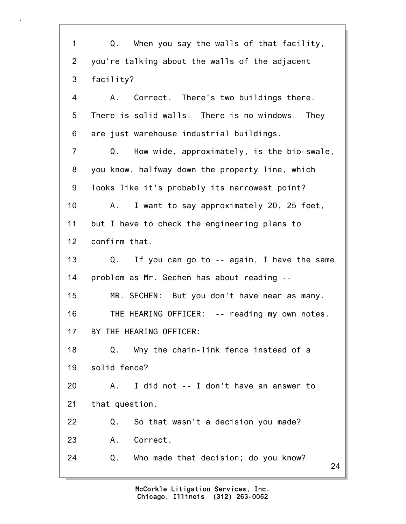24 1 Q. When you say the walls of that facility, 2 you're talking about the walls of the adjacent 3 facility? 4 A. Correct. There's two buildings there. 5 There is solid walls. There is no windows. They 6 are just warehouse industrial buildings. 7 Q. How wide, approximately, is the bio-swale, 8 you know, halfway down the property line, which 9 looks like it's probably its narrowest point? 10 A. I want to say approximately 20, 25 feet, 11 but I have to check the engineering plans to 12 confirm that. 13 Q. If you can go to -- again, I have the same 14 problem as Mr. Sechen has about reading -- 15 MR. SECHEN: But you don't have near as many. 16 THE HEARING OFFICER: -- reading my own notes. 17 BY THE HEARING OFFICER: 18 Q. Why the chain-link fence instead of a 19 solid fence? 20 A. I did not -- I don't have an answer to 21 that question. 22 Q. So that wasn't a decision you made? 23 A. Correct. 24 Q. Who made that decision; do you know?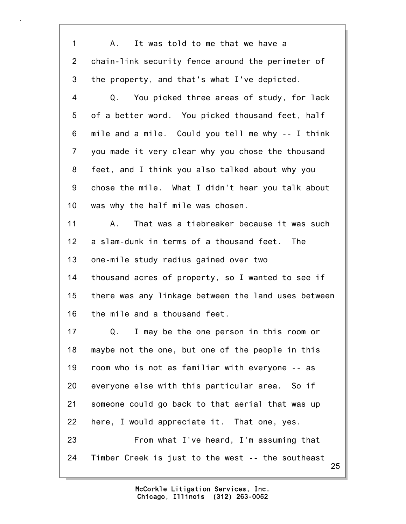| $\mathbf 1$     | It was told to me that we have a<br>A.,                 |
|-----------------|---------------------------------------------------------|
| $\overline{2}$  | chain-link security fence around the perimeter of       |
| 3               | the property, and that's what I've depicted.            |
| 4               | Q.<br>You picked three areas of study, for lack         |
| 5               | of a better word. You picked thousand feet, half        |
| 6               | mile and a mile. Could you tell me why -- I think       |
| $\overline{7}$  | you made it very clear why you chose the thousand       |
| 8               | feet, and I think you also talked about why you         |
| 9               | chose the mile. What I didn't hear you talk about       |
| 10 <sub>1</sub> | was why the half mile was chosen.                       |
| 11              | That was a tiebreaker because it was such<br>A.         |
| 12              | a slam-dunk in terms of a thousand feet. The            |
| 13              | one-mile study radius gained over two                   |
| 14              | thousand acres of property, so I wanted to see if       |
| 15              | there was any linkage between the land uses between     |
| 16              | the mile and a thousand feet.                           |
| 17              | I may be the one person in this room or<br>Q.           |
| 18              | maybe not the one, but one of the people in this        |
| 19              | room who is not as familiar with everyone -- as         |
| 20              | everyone else with this particular area. So if          |
| 21              | someone could go back to that aerial that was up        |
| 22              | here, I would appreciate it. That one, yes.             |
| 23              | From what I've heard, I'm assuming that                 |
| 24              | Timber Creek is just to the west -- the southeast<br>25 |
|                 |                                                         |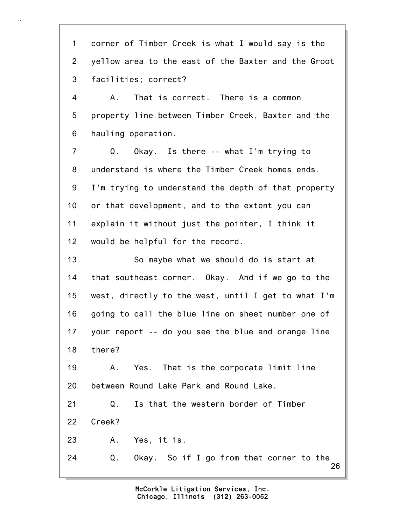26 1 corner of Timber Creek is what I would say is the 2 yellow area to the east of the Baxter and the Groot 3 facilities; correct? 4 A. That is correct. There is a common 5 property line between Timber Creek, Baxter and the 6 hauling operation. 7 Q. Okay. Is there -- what I'm trying to 8 understand is where the Timber Creek homes ends. 9 I'm trying to understand the depth of that property 10 or that development, and to the extent you can 11 explain it without just the pointer, I think it 12 would be helpful for the record. 13 So maybe what we should do is start at 14 that southeast corner. Okay. And if we go to the 15 west, directly to the west, until I get to what I'm 16 going to call the blue line on sheet number one of 17 your report -- do you see the blue and orange line 18 there? 19 A. Yes. That is the corporate limit line 20 between Round Lake Park and Round Lake. 21 Q. Is that the western border of Timber 22 Creek? 23 A. Yes, it is. 24 Q. Okay. So if I go from that corner to the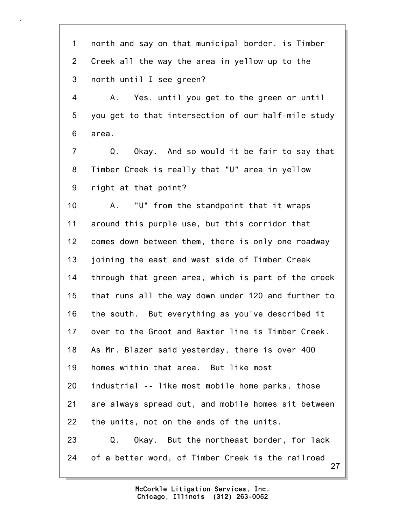27 1 north and say on that municipal border, is Timber 2 Creek all the way the area in yellow up to the 3 north until I see green? 4 A. Yes, until you get to the green or until 5 you get to that intersection of our half-mile study 6 area. 7 Q. Okay. And so would it be fair to say that 8 Timber Creek is really that "U" area in yellow 9 right at that point? 10 A. "U" from the standpoint that it wraps 11 around this purple use, but this corridor that 12 comes down between them, there is only one roadway 13 joining the east and west side of Timber Creek 14 through that green area, which is part of the creek 15 that runs all the way down under 120 and further to 16 the south. But everything as you've described it 17 over to the Groot and Baxter line is Timber Creek. 18 As Mr. Blazer said yesterday, there is over 400 19 homes within that area. But like most 20 industrial -- like most mobile home parks, those 21 are always spread out, and mobile homes sit between 22 the units, not on the ends of the units. 23 Q. Okay. But the northeast border, for lack 24 of a better word, of Timber Creek is the railroad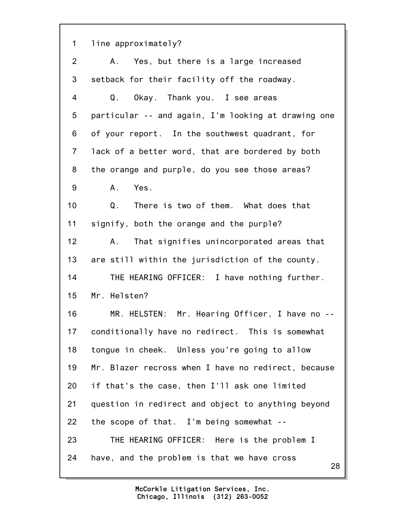1 line approximately?

28 2 A. Yes, but there is a large increased 3 setback for their facility off the roadway. 4 Q. Okay. Thank you. I see areas 5 particular -- and again, I'm looking at drawing one 6 of your report. In the southwest quadrant, for 7 lack of a better word, that are bordered by both 8 the orange and purple, do you see those areas? 9 A. Yes. 10 Q. There is two of them. What does that 11 signify, both the orange and the purple? 12 A. That signifies unincorporated areas that 13 are still within the jurisdiction of the county. 14 THE HEARING OFFICER: I have nothing further. 15 Mr. Helsten? 16 MR. HELSTEN: Mr. Hearing Officer, I have no -- 17 conditionally have no redirect. This is somewhat 18 tongue in cheek. Unless you're going to allow 19 Mr. Blazer recross when I have no redirect, because 20 if that's the case, then I'll ask one limited 21 question in redirect and object to anything beyond 22 the scope of that. I'm being somewhat -- 23 THE HEARING OFFICER: Here is the problem I 24 have, and the problem is that we have cross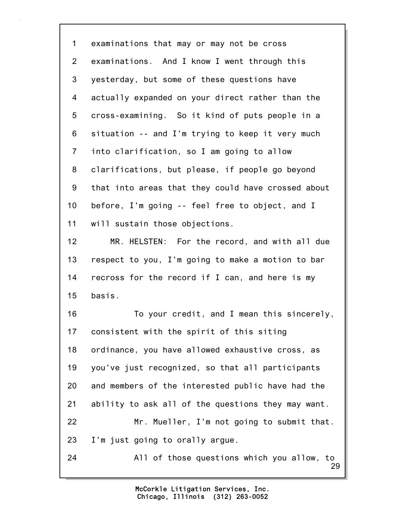1 examinations that may or may not be cross 2 examinations. And I know I went through this 3 yesterday, but some of these questions have 4 actually expanded on your direct rather than the 5 cross-examining. So it kind of puts people in a 6 situation -- and I'm trying to keep it very much 7 into clarification, so I am going to allow 8 clarifications, but please, if people go beyond 9 that into areas that they could have crossed about 10 before, I'm going -- feel free to object, and I 11 will sustain those objections. 12 MR. HELSTEN: For the record, and with all due 13 respect to you, I'm going to make a motion to bar 14 recross for the record if I can, and here is my 15 basis. 16 To your credit, and I mean this sincerely, 17 consistent with the spirit of this siting 18 ordinance, you have allowed exhaustive cross, as

19 you've just recognized, so that all participants 20 and members of the interested public have had the 21 ability to ask all of the questions they may want.

22 Mr. Mueller, I'm not going to submit that. 23 I'm just going to orally argue.

29 24 All of those questions which you allow, to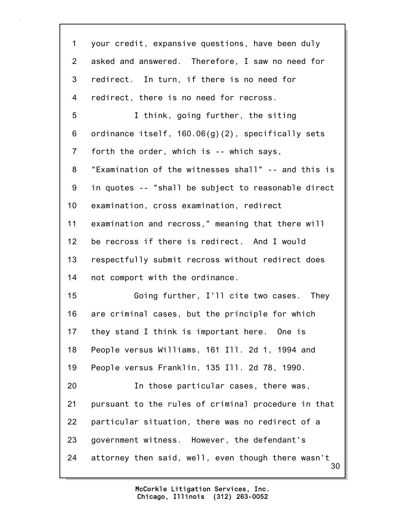| 1              | your credit, expansive questions, have been duly         |
|----------------|----------------------------------------------------------|
| $\overline{2}$ | asked and answered. Therefore, I saw no need for         |
| 3              | redirect. In turn, if there is no need for               |
| 4              | redirect, there is no need for recross.                  |
| 5              | I think, going further, the siting                       |
| 6              | ordinance itself, $160.06(g)(2)$ , specifically sets     |
| $\overline{7}$ | forth the order, which is -- which says,                 |
| 8              | "Examination of the witnesses shall" -- and this is      |
| 9              | in quotes -- "shall be subject to reasonable direct      |
| 10             | examination, cross examination, redirect                 |
| 11             | examination and recross," meaning that there will        |
| 12             | be recross if there is redirect. And I would             |
| 13             | respectfully submit recross without redirect does        |
| 14             | not comport with the ordinance.                          |
| 15             | Going further, I'll cite two cases. They                 |
| 16             | are criminal cases, but the principle for which          |
| 17             | they stand I think is important here. One is             |
| 18             | People versus Williams, 161 Ill. 2d 1, 1994 and          |
| 19             | People versus Franklin, 135 Ill. 2d 78, 1990.            |
| 20             | In those particular cases, there was,                    |
| 21             | pursuant to the rules of criminal procedure in that      |
| 22             | particular situation, there was no redirect of a         |
| 23             | government witness. However, the defendant's             |
| 24             | attorney then said, well, even though there wasn't<br>30 |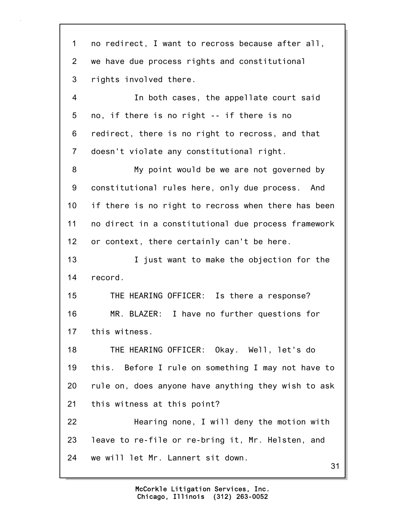31 1 no redirect, I want to recross because after all, 2 we have due process rights and constitutional 3 rights involved there. 4 In both cases, the appellate court said 5 no, if there is no right -- if there is no 6 redirect, there is no right to recross, and that 7 doesn't violate any constitutional right. 8 My point would be we are not governed by 9 constitutional rules here, only due process. And 10 if there is no right to recross when there has been 11 no direct in a constitutional due process framework 12 or context, there certainly can't be here. 13 **I** just want to make the objection for the 14 record. 15 THE HEARING OFFICER: Is there a response? 16 MR. BLAZER: I have no further questions for 17 this witness. 18 THE HEARING OFFICER: Okay. Well, let's do 19 this. Before I rule on something I may not have to 20 rule on, does anyone have anything they wish to ask 21 this witness at this point? 22 Hearing none, I will deny the motion with 23 leave to re-file or re-bring it, Mr. Helsten, and 24 we will let Mr. Lannert sit down.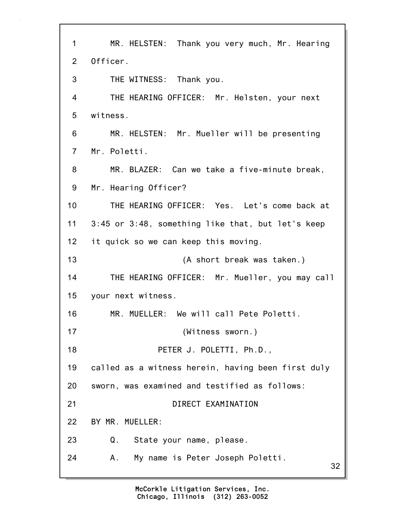32 1 MR. HELSTEN: Thank you very much, Mr. Hearing 2 Officer. 3 THE WITNESS: Thank you. 4 THE HEARING OFFICER: Mr. Helsten, your next 5 witness. 6 MR. HELSTEN: Mr. Mueller will be presenting 7 Mr. Poletti. 8 MR. BLAZER: Can we take a five-minute break, 9 Mr. Hearing Officer? 10 THE HEARING OFFICER: Yes. Let's come back at 11 3:45 or 3:48, something like that, but let's keep 12 it quick so we can keep this moving. 13 (A short break was taken.) 14 THE HEARING OFFICER: Mr. Mueller, you may call 15 your next witness. 16 MR. MUELLER: We will call Pete Poletti. 17 (Witness sworn.) 18 PETER J. POLETTI, Ph.D., 19 called as a witness herein, having been first duly 20 sworn, was examined and testified as follows: 21 DIRECT EXAMINATION 22 BY MR. MUELLER: 23 Q. State your name, please. 24 A. My name is Peter Joseph Poletti.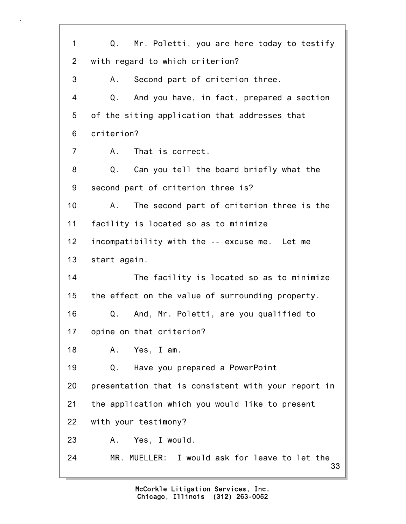33 1 Q. Mr. Poletti, you are here today to testify 2 with regard to which criterion? 3 A. Second part of criterion three. 4 Q. And you have, in fact, prepared a section 5 of the siting application that addresses that 6 criterion? 7 A. That is correct. 8 Q. Can you tell the board briefly what the 9 second part of criterion three is? 10 A. The second part of criterion three is the 11 facility is located so as to minimize 12 incompatibility with the -- excuse me. Let me 13 start again. 14 The facility is located so as to minimize 15 the effect on the value of surrounding property. 16 Q. And, Mr. Poletti, are you qualified to 17 opine on that criterion? 18 A. Yes, I am. 19 Q. Have you prepared a PowerPoint 20 presentation that is consistent with your report in 21 the application which you would like to present 22 with your testimony? 23 A. Yes, I would. 24 MR. MUELLER: I would ask for leave to let the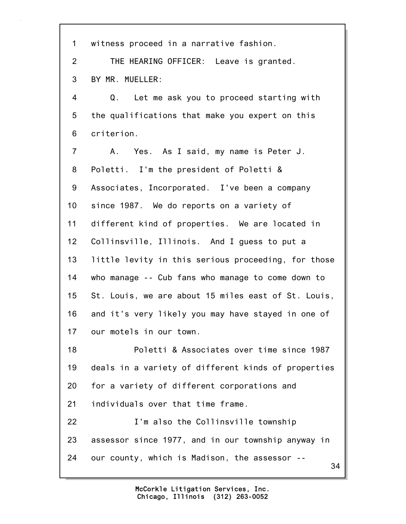| $\mathbf 1$     | witness proceed in a narrative fashion.             |
|-----------------|-----------------------------------------------------|
| 2               | THE HEARING OFFICER: Leave is granted.              |
| 3               | BY MR. MUELLER:                                     |
| 4               | Let me ask you to proceed starting with<br>Q.       |
| 5               | the qualifications that make you expert on this     |
| 6               | criterion.                                          |
| $\overline{7}$  | Yes. As I said, my name is Peter J.<br>A.,          |
| 8               | Poletti. I'm the president of Poletti &             |
| 9               | Associates, Incorporated. I've been a company       |
| 10 <sub>1</sub> | since 1987. We do reports on a variety of           |
| 11              | different kind of properties. We are located in     |
| 12              | Collinsville, Illinois. And I guess to put a        |
| 13              | little levity in this serious proceeding, for those |
| 14              | who manage -- Cub fans who manage to come down to   |
| 15              | St. Louis, we are about 15 miles east of St. Louis, |
| 16              | and it's very likely you may have stayed in one of  |
| 17              | our motels in our town.                             |
| 18              | Poletti & Associates over time since 1987           |
| 19              | deals in a variety of different kinds of properties |
| 20              | for a variety of different corporations and         |
| 21              | individuals over that time frame.                   |
| 22              | I'm also the Collinsville township                  |
| 23              | assessor since 1977, and in our township anyway in  |
| 24              | our county, which is Madison, the assessor --<br>34 |
|                 |                                                     |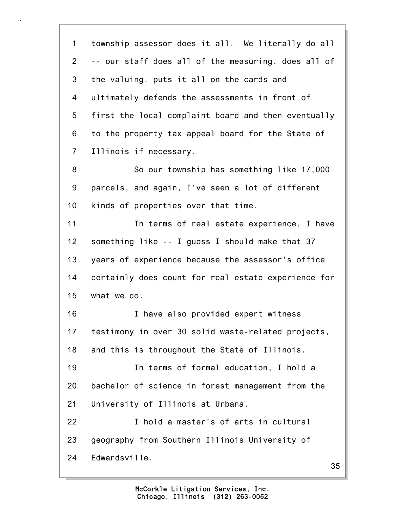1 township assessor does it all. We literally do all 2 -- our staff does all of the measuring, does all of 3 the valuing, puts it all on the cards and 4 ultimately defends the assessments in front of 5 first the local complaint board and then eventually 6 to the property tax appeal board for the State of 7 Illinois if necessary. 8 So our township has something like 17,000 9 parcels, and again, I've seen a lot of different 10 kinds of properties over that time. 11 In terms of real estate experience, I have 12 something like -- I guess I should make that 37 13 years of experience because the assessor's office 14 certainly does count for real estate experience for 15 what we do. 16 I have also provided expert witness 17 testimony in over 30 solid waste-related projects, 18 and this is throughout the State of Illinois. 19 In terms of formal education, I hold a 20 bachelor of science in forest management from the 21 University of Illinois at Urbana. 22 I hold a master's of arts in cultural 23 geography from Southern Illinois University of 24 Edwardsville.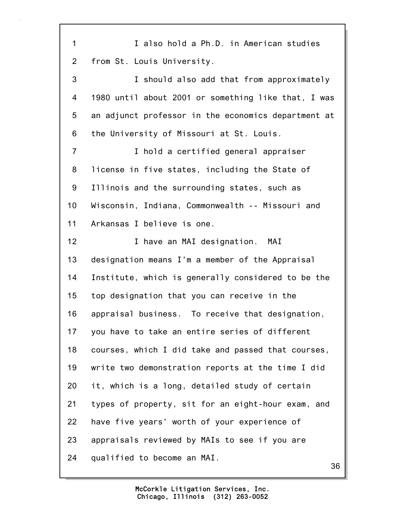36 1 I also hold a Ph.D. in American studies 2 from St. Louis University. 3 I should also add that from approximately 4 1980 until about 2001 or something like that, I was 5 an adjunct professor in the economics department at 6 the University of Missouri at St. Louis. 7 I hold a certified general appraiser 8 license in five states, including the State of 9 Illinois and the surrounding states, such as 10 Wisconsin, Indiana, Commonwealth -- Missouri and 11 Arkansas I believe is one. 12 I have an MAI designation. MAI 13 designation means I'm a member of the Appraisal 14 Institute, which is generally considered to be the 15 top designation that you can receive in the 16 appraisal business. To receive that designation, 17 you have to take an entire series of different 18 courses, which I did take and passed that courses, 19 write two demonstration reports at the time I did 20 it, which is a long, detailed study of certain 21 types of property, sit for an eight-hour exam, and 22 have five years' worth of your experience of 23 appraisals reviewed by MAIs to see if you are 24 qualified to become an MAI.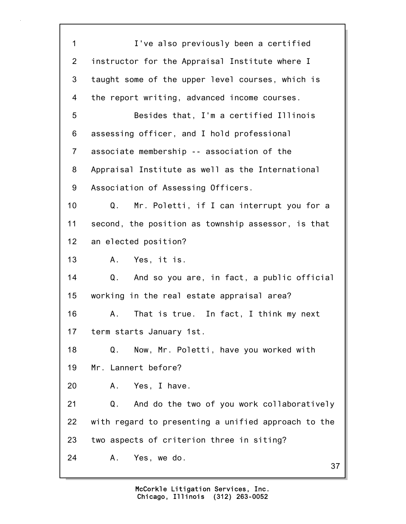37 1 I've also previously been a certified 2 instructor for the Appraisal Institute where I 3 taught some of the upper level courses, which is 4 the report writing, advanced income courses. 5 Besides that, I'm a certified Illinois 6 assessing officer, and I hold professional 7 associate membership -- association of the 8 Appraisal Institute as well as the International 9 Association of Assessing Officers. 10 Q. Mr. Poletti, if I can interrupt you for a 11 second, the position as township assessor, is that 12 an elected position? 13 A. Yes, it is. 14 Q. And so you are, in fact, a public official 15 working in the real estate appraisal area? 16 A. That is true. In fact, I think my next 17 term starts January 1st. 18 Q. Now, Mr. Poletti, have you worked with 19 Mr. Lannert before? 20 A. Yes, I have. 21 Q. And do the two of you work collaboratively 22 with regard to presenting a unified approach to the 23 two aspects of criterion three in siting? 24 A. Yes, we do.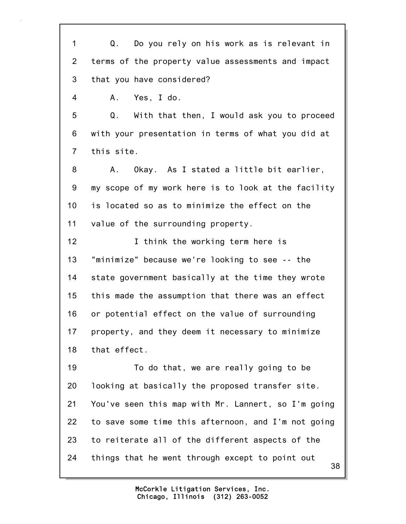1 Q. Do you rely on his work as is relevant in 2 terms of the property value assessments and impact 3 that you have considered? 4 A. Yes, I do. 5 Q. With that then, I would ask you to proceed 6 with your presentation in terms of what you did at 7 this site. 8 A. Okay. As I stated a little bit earlier, 9 my scope of my work here is to look at the facility 10 is located so as to minimize the effect on the 11 value of the surrounding property. 12 **I** think the working term here is 13 "minimize" because we're looking to see -- the 14 state government basically at the time they wrote 15 this made the assumption that there was an effect 16 or potential effect on the value of surrounding 17 property, and they deem it necessary to minimize 18 that effect. 19 To do that, we are really going to be 20 looking at basically the proposed transfer site. 21 You've seen this map with Mr. Lannert, so I'm going 22 to save some time this afternoon, and I'm not going 23 to reiterate all of the different aspects of the 24 things that he went through except to point out

> Chicago, Illinois (312) 263-0052 McCorkle Litigation Services, Inc.

38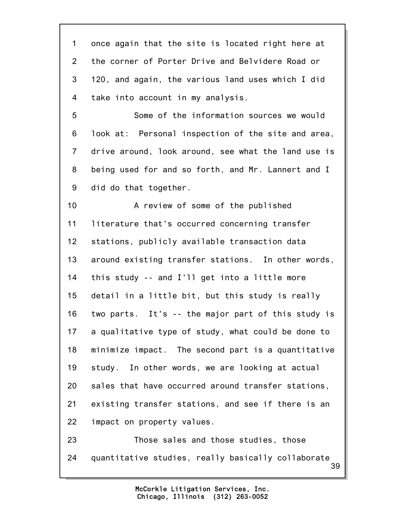1 once again that the site is located right here at 2 the corner of Porter Drive and Belvidere Road or 3 120, and again, the various land uses which I did 4 take into account in my analysis.

5 Some of the information sources we would 6 look at: Personal inspection of the site and area, 7 drive around, look around, see what the land use is 8 being used for and so forth, and Mr. Lannert and I 9 did do that together.

10 A review of some of the published 11 literature that's occurred concerning transfer 12 stations, publicly available transaction data 13 around existing transfer stations. In other words, 14 this study -- and I'll get into a little more 15 detail in a little bit, but this study is really 16 two parts. It's -- the major part of this study is 17 a qualitative type of study, what could be done to 18 minimize impact. The second part is a quantitative 19 study. In other words, we are looking at actual 20 sales that have occurred around transfer stations, 21 existing transfer stations, and see if there is an 22 impact on property values.

39 23 Those sales and those studies, those 24 quantitative studies, really basically collaborate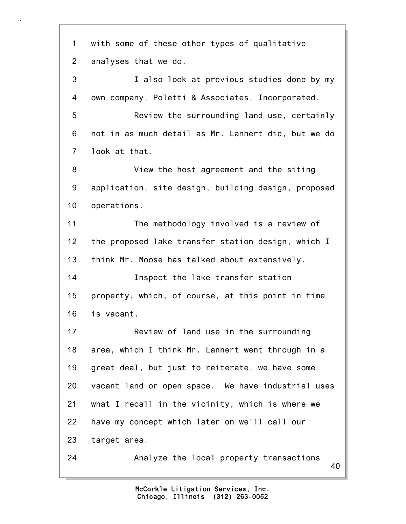40 1 with some of these other types of qualitative 2 analyses that we do. 3 I also look at previous studies done by my 4 own company, Poletti & Associates, Incorporated. 5 Review the surrounding land use, certainly 6 not in as much detail as Mr. Lannert did, but we do 7 look at that. 8 View the host agreement and the siting 9 application, site design, building design, proposed 10 operations. 11 The methodology involved is a review of 12 the proposed lake transfer station design, which I 13 think Mr. Moose has talked about extensively. 14 Inspect the lake transfer station 15 property, which, of course, at this point in time 16 is vacant. 17 Review of land use in the surrounding 18 area, which I think Mr. Lannert went through in a 19 great deal, but just to reiterate, we have some 20 vacant land or open space. We have industrial uses 21 what I recall in the vicinity, which is where we 22 have my concept which later on we'll call our 23 target area. 24 Analyze the local property transactions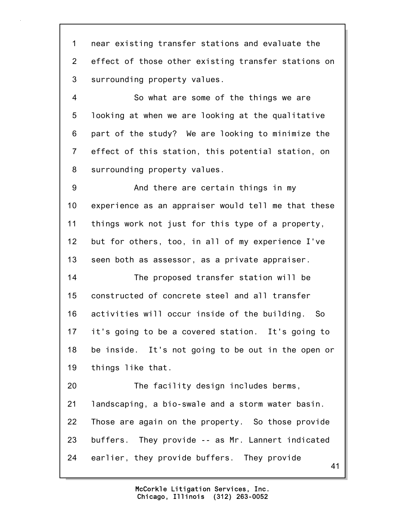1 near existing transfer stations and evaluate the 2 effect of those other existing transfer stations on 3 surrounding property values.

4 So what are some of the things we are 5 looking at when we are looking at the qualitative 6 part of the study? We are looking to minimize the 7 effect of this station, this potential station, on 8 surrounding property values.

9 And there are certain things in my 10 experience as an appraiser would tell me that these 11 things work not just for this type of a property, 12 but for others, too, in all of my experience I've 13 seen both as assessor, as a private appraiser.

14 The proposed transfer station will be 15 constructed of concrete steel and all transfer 16 activities will occur inside of the building. So 17 it's going to be a covered station. It's going to 18 be inside. It's not going to be out in the open or 19 things like that.

41 20 The facility design includes berms, 21 landscaping, a bio-swale and a storm water basin. 22 Those are again on the property. So those provide 23 buffers. They provide -- as Mr. Lannert indicated 24 earlier, they provide buffers. They provide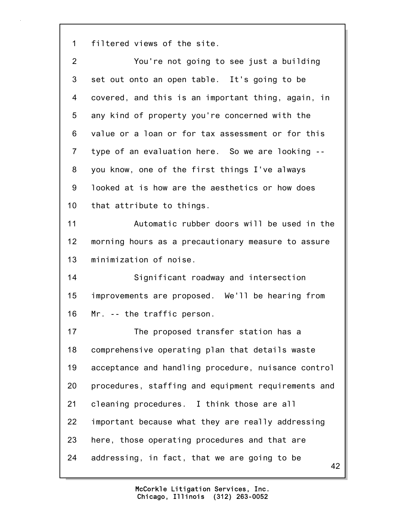1 filtered views of the site.

| $\overline{2}$ | You're not going to see just a building             |
|----------------|-----------------------------------------------------|
| 3              | set out onto an open table. It's going to be        |
| 4              | covered, and this is an important thing, again, in  |
| 5              | any kind of property you're concerned with the      |
| 6              | value or a loan or for tax assessment or for this   |
| $\overline{7}$ | type of an evaluation here. So we are looking --    |
| 8              | you know, one of the first things I've always       |
| 9              | looked at is how are the aesthetics or how does     |
| 10             | that attribute to things.                           |
| 11             | Automatic rubber doors will be used in the          |
| 12             | morning hours as a precautionary measure to assure  |
| 13             | minimization of noise.                              |
| 14             | Significant roadway and intersection                |
| 15             | improvements are proposed. We'll be hearing from    |
| 16             | Mr. -- the traffic person.                          |
| 17             | The proposed transfer station has a                 |
| 18             | comprehensive operating plan that details waste     |
| 19             | acceptance and handling procedure, nuisance control |
| 20             | procedures, staffing and equipment requirements and |
| 21             | cleaning procedures. I think those are all          |
| 22             | important because what they are really addressing   |
| 23             | here, those operating procedures and that are       |
| 24             | addressing, in fact, that we are going to be<br>42  |
|                |                                                     |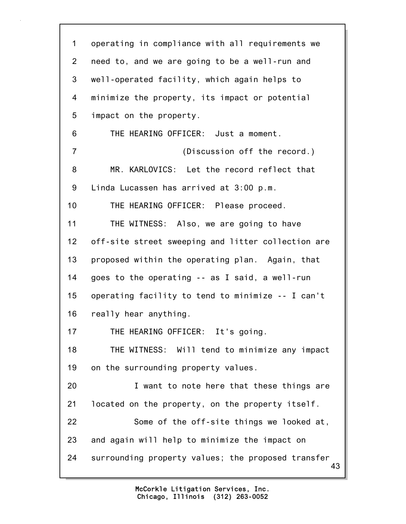43 1 operating in compliance with all requirements we 2 need to, and we are going to be a well-run and 3 well-operated facility, which again helps to 4 minimize the property, its impact or potential 5 impact on the property. 6 THE HEARING OFFICER: Just a moment. 7 (Discussion off the record.) 8 MR. KARLOVICS: Let the record reflect that 9 Linda Lucassen has arrived at 3:00 p.m. 10 THE HEARING OFFICER: Please proceed. 11 THE WITNESS: Also, we are going to have 12 off-site street sweeping and litter collection are 13 proposed within the operating plan. Again, that 14 goes to the operating -- as I said, a well-run 15 operating facility to tend to minimize -- I can't 16 really hear anything. 17 THE HEARING OFFICER: It's going. 18 THE WITNESS: Will tend to minimize any impact 19 on the surrounding property values. 20 I want to note here that these things are 21 located on the property, on the property itself. 22 Some of the off-site things we looked at, 23 and again will help to minimize the impact on 24 surrounding property values; the proposed transfer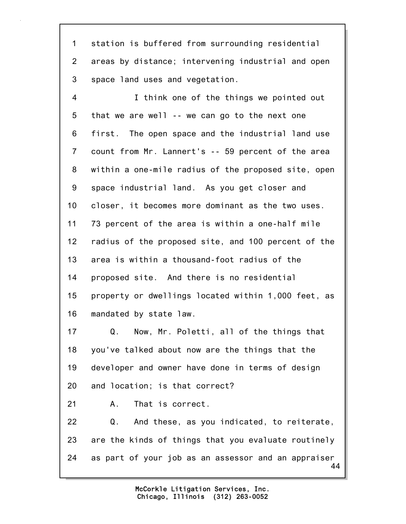1 station is buffered from surrounding residential 2 areas by distance; intervening industrial and open 3 space land uses and vegetation.

4 I think one of the things we pointed out 5 that we are well -- we can go to the next one 6 first. The open space and the industrial land use 7 count from Mr. Lannert's -- 59 percent of the area 8 within a one-mile radius of the proposed site, open 9 space industrial land. As you get closer and 10 closer, it becomes more dominant as the two uses. 11 73 percent of the area is within a one-half mile 12 radius of the proposed site, and 100 percent of the 13 area is within a thousand-foot radius of the 14 proposed site. And there is no residential 15 property or dwellings located within 1,000 feet, as 16 mandated by state law.

17 Q. Now, Mr. Poletti, all of the things that 18 you've talked about now are the things that the 19 developer and owner have done in terms of design 20 and location; is that correct?

21 A. That is correct.

44 22 Q. And these, as you indicated, to reiterate, 23 are the kinds of things that you evaluate routinely 24 as part of your job as an assessor and an appraiser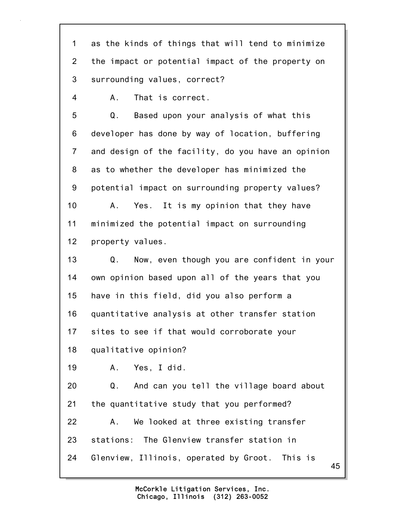1 as the kinds of things that will tend to minimize 2 the impact or potential impact of the property on 3 surrounding values, correct?

4 A. That is correct.

5 Q. Based upon your analysis of what this 6 developer has done by way of location, buffering 7 and design of the facility, do you have an opinion 8 as to whether the developer has minimized the 9 potential impact on surrounding property values? 10 A. Yes. It is my opinion that they have 11 minimized the potential impact on surrounding 12 property values.

13 Q. Now, even though you are confident in your 14 own opinion based upon all of the years that you 15 have in this field, did you also perform a 16 quantitative analysis at other transfer station 17 sites to see if that would corroborate your

18 qualitative opinion?

19 A. Yes, I did.

20 Q. And can you tell the village board about 21 the quantitative study that you performed? 22 A. We looked at three existing transfer 23 stations: The Glenview transfer station in 24 Glenview, Illinois, operated by Groot. This is

> Chicago, Illinois (312) 263-0052 McCorkle Litigation Services, Inc.

45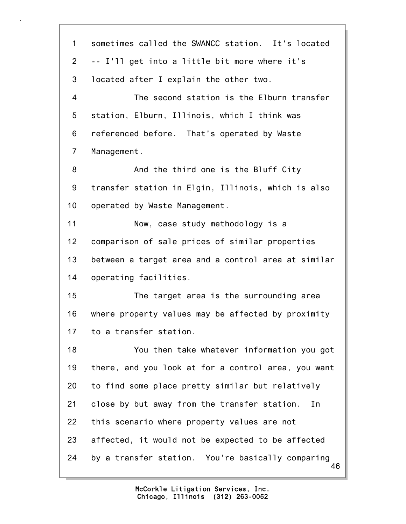46 1 sometimes called the SWANCC station. It's located 2 -- I'll get into a little bit more where it's 3 located after I explain the other two. 4 The second station is the Elburn transfer 5 station, Elburn, Illinois, which I think was 6 referenced before. That's operated by Waste 7 Management. 8 And the third one is the Bluff City 9 transfer station in Elgin, Illinois, which is also 10 operated by Waste Management. 11 Now, case study methodology is a 12 comparison of sale prices of similar properties 13 between a target area and a control area at similar 14 operating facilities. 15 The target area is the surrounding area 16 where property values may be affected by proximity 17 to a transfer station. 18 You then take whatever information you got 19 there, and you look at for a control area, you want 20 to find some place pretty similar but relatively 21 close by but away from the transfer station. In 22 this scenario where property values are not 23 affected, it would not be expected to be affected 24 by a transfer station. You're basically comparing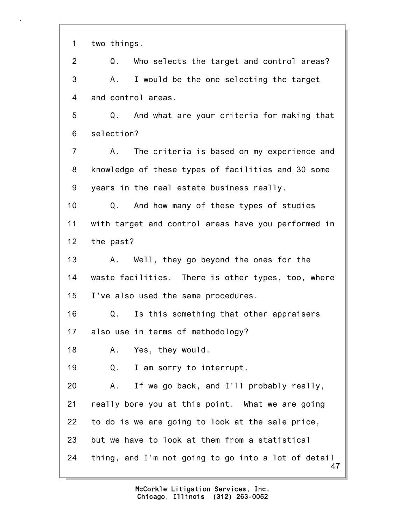1 two things.

47 2 Q. Who selects the target and control areas? 3 A. I would be the one selecting the target 4 and control areas. 5 Q. And what are your criteria for making that 6 selection? 7 A. The criteria is based on my experience and 8 knowledge of these types of facilities and 30 some 9 years in the real estate business really. 10 Q. And how many of these types of studies 11 with target and control areas have you performed in 12 the past? 13 A. Well, they go beyond the ones for the 14 waste facilities. There is other types, too, where 15 I've also used the same procedures. 16 Q. Is this something that other appraisers 17 also use in terms of methodology? 18 A. Yes, they would. 19 Q. I am sorry to interrupt. 20 A. If we go back, and I'll probably really, 21 really bore you at this point. What we are going 22 to do is we are going to look at the sale price, 23 but we have to look at them from a statistical 24 thing, and I'm not going to go into a lot of detail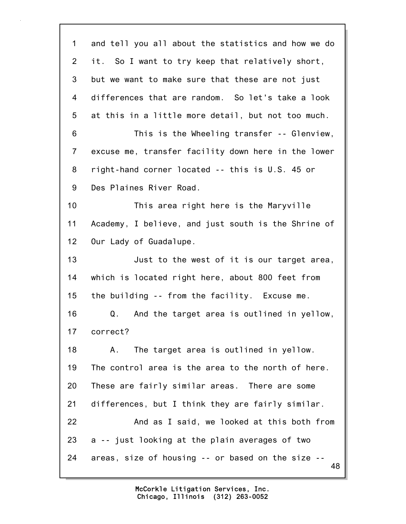48 1 and tell you all about the statistics and how we do 2 it. So I want to try keep that relatively short, 3 but we want to make sure that these are not just 4 differences that are random. So let's take a look 5 at this in a little more detail, but not too much. 6 This is the Wheeling transfer -- Glenview, 7 excuse me, transfer facility down here in the lower 8 right-hand corner located -- this is U.S. 45 or 9 Des Plaines River Road. 10 This area right here is the Maryville 11 Academy, I believe, and just south is the Shrine of 12 Our Lady of Guadalupe. 13 Just to the west of it is our target area, 14 which is located right here, about 800 feet from 15 the building -- from the facility. Excuse me. 16 Q. And the target area is outlined in yellow, 17 correct? 18 A. The target area is outlined in yellow. 19 The control area is the area to the north of here. 20 These are fairly similar areas. There are some 21 differences, but I think they are fairly similar. 22 And as I said, we looked at this both from 23 a -- just looking at the plain averages of two 24 areas, size of housing -- or based on the size --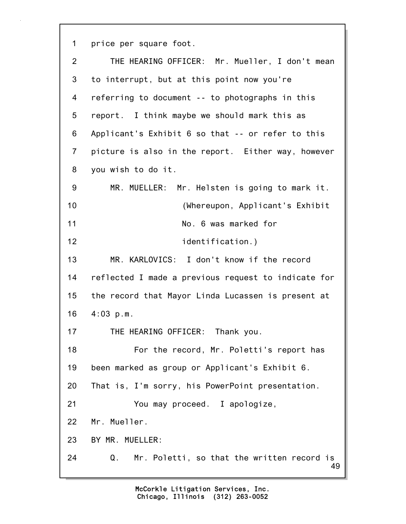1 price per square foot.

| $\overline{2}$ | THE HEARING OFFICER: Mr. Mueller, I don't mean         |
|----------------|--------------------------------------------------------|
| 3              | to interrupt, but at this point now you're             |
| 4              | referring to document -- to photographs in this        |
| 5              | report. I think maybe we should mark this as           |
| 6              | Applicant's Exhibit 6 so that -- or refer to this      |
| $\overline{7}$ | picture is also in the report. Either way, however     |
| 8              | you wish to do it.                                     |
| 9              | MR. MUELLER: Mr. Helsten is going to mark it.          |
| 10             | (Whereupon, Applicant's Exhibit                        |
| 11             | No. 6 was marked for                                   |
| 12             | identification.)                                       |
| 13             | MR. KARLOVICS: I don't know if the record              |
| 14             | reflected I made a previous request to indicate for    |
| 15             | the record that Mayor Linda Lucassen is present at     |
| 16             | $4:03$ p.m.                                            |
| 17             | THE HEARING OFFICER: Thank you.                        |
| 18             | For the record, Mr. Poletti's report has               |
| 19             | been marked as group or Applicant's Exhibit 6.         |
| 20             | That is, I'm sorry, his PowerPoint presentation.       |
| 21             | You may proceed. I apologize,                          |
| 22             | Mr. Mueller.                                           |
| 23             | BY MR. MUELLER:                                        |
| 24             | Mr. Poletti, so that the written record is<br>Q.<br>49 |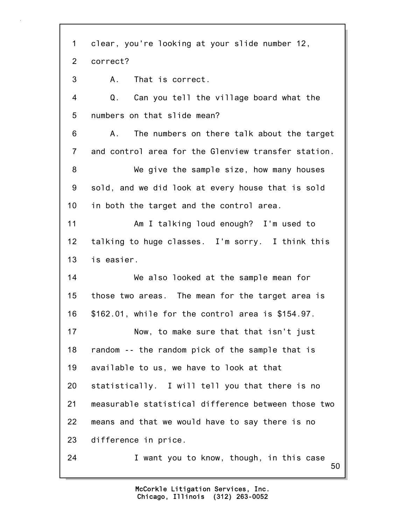50 1 clear, you're looking at your slide number 12, 2 correct? 3 A. That is correct. 4 Q. Can you tell the village board what the 5 numbers on that slide mean? 6 A. The numbers on there talk about the target 7 and control area for the Glenview transfer station. 8 We give the sample size, how many houses 9 sold, and we did look at every house that is sold 10 in both the target and the control area. 11 Am I talking loud enough? I'm used to 12 talking to huge classes. I'm sorry. I think this 13 is easier. 14 We also looked at the sample mean for 15 those two areas. The mean for the target area is 16 \$162.01, while for the control area is \$154.97. 17 Now, to make sure that that isn't just 18 random -- the random pick of the sample that is 19 available to us, we have to look at that 20 statistically. I will tell you that there is no 21 measurable statistical difference between those two 22 means and that we would have to say there is no 23 difference in price. 24 I want you to know, though, in this case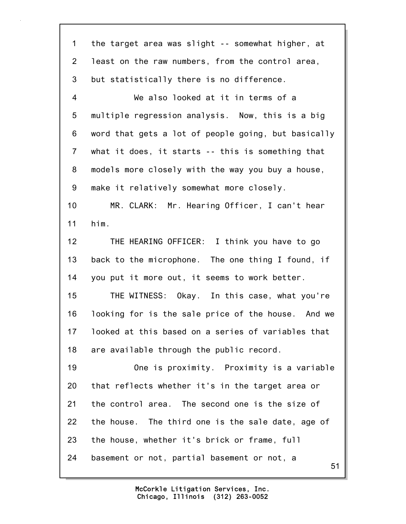51 1 the target area was slight -- somewhat higher, at 2 least on the raw numbers, from the control area, 3 but statistically there is no difference. 4 We also looked at it in terms of a 5 multiple regression analysis. Now, this is a big 6 word that gets a lot of people going, but basically 7 what it does, it starts -- this is something that 8 models more closely with the way you buy a house, 9 make it relatively somewhat more closely. 10 MR. CLARK: Mr. Hearing Officer, I can't hear 11 him. 12 THE HEARING OFFICER: I think you have to go 13 back to the microphone. The one thing I found, if 14 you put it more out, it seems to work better. 15 THE WITNESS: Okay. In this case, what you're 16 looking for is the sale price of the house. And we 17 looked at this based on a series of variables that 18 are available through the public record. 19 One is proximity. Proximity is a variable 20 that reflects whether it's in the target area or 21 the control area. The second one is the size of 22 the house. The third one is the sale date, age of 23 the house, whether it's brick or frame, full 24 basement or not, partial basement or not, a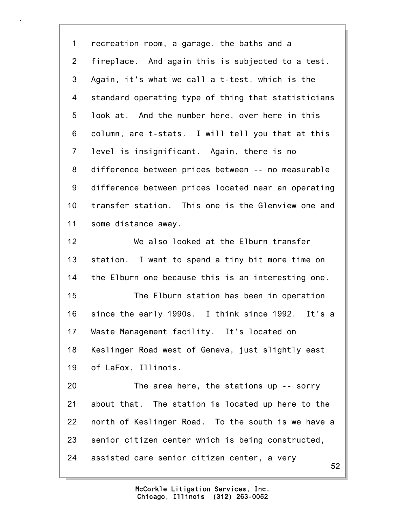1 recreation room, a garage, the baths and a 2 fireplace. And again this is subjected to a test. 3 Again, it's what we call a t-test, which is the 4 standard operating type of thing that statisticians 5 look at. And the number here, over here in this 6 column, are t-stats. I will tell you that at this 7 level is insignificant. Again, there is no 8 difference between prices between -- no measurable 9 difference between prices located near an operating 10 transfer station. This one is the Glenview one and 11 some distance away. 12 We also looked at the Elburn transfer 13 station. I want to spend a tiny bit more time on 14 the Elburn one because this is an interesting one. 15 The Elburn station has been in operation 16 since the early 1990s. I think since 1992. It's a 17 Waste Management facility. It's located on 18 Keslinger Road west of Geneva, just slightly east 19 of LaFox, Illinois. 20 The area here, the stations up -- sorry 21 about that. The station is located up here to the 22 north of Keslinger Road. To the south is we have a 23 senior citizen center which is being constructed, 24 assisted care senior citizen center, a very

> Chicago, Illinois (312) 263-0052 McCorkle Litigation Services, Inc.

52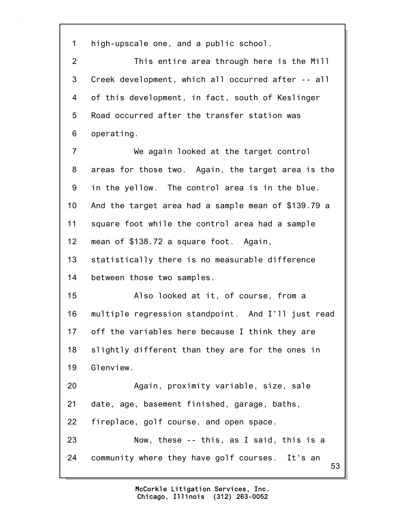1 high-upscale one, and a public school.

2 This entire area through here is the Mill 3 Creek development, which all occurred after -- all 4 of this development, in fact, south of Keslinger 5 Road occurred after the transfer station was 6 operating.

7 We again looked at the target control 8 areas for those two. Again, the target area is the 9 in the yellow. The control area is in the blue. 10 And the target area had a sample mean of \$139.79 a 11 square foot while the control area had a sample 12 mean of \$138.72 a square foot. Again,

13 statistically there is no measurable difference 14 between those two samples.

15 Also looked at it, of course, from a 16 multiple regression standpoint. And I'll just read 17 off the variables here because I think they are 18 slightly different than they are for the ones in 19 Glenview. 20 Again, proximity variable, size, sale

21 date, age, basement finished, garage, baths,

22 fireplace, golf course, and open space.

53 23 Now, these -- this, as I said, this is a 24 community where they have golf courses. It's an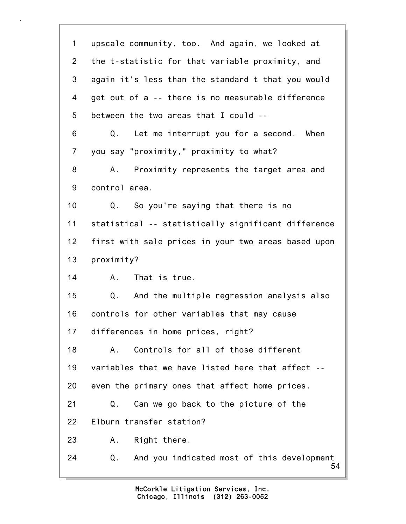| $\mathbf 1$    | upscale community, too. And again, we looked at        |
|----------------|--------------------------------------------------------|
| $\overline{2}$ | the t-statistic for that variable proximity, and       |
| 3              | again it's less than the standard t that you would     |
| 4              | get out of a -- there is no measurable difference      |
| 5              | between the two areas that I could --                  |
| 6              | Let me interrupt you for a second.<br>Q.<br>When       |
| 7              | you say "proximity," proximity to what?                |
| 8              | Proximity represents the target area and<br>А.         |
| 9              | control area.                                          |
| 10             | So you're saying that there is no<br>Q.                |
| 11             | statistical -- statistically significant difference    |
| 12             | first with sale prices in your two areas based upon    |
| 13             | proximity?                                             |
| 14             | That is true.<br>A.                                    |
| 15             | And the multiple regression analysis also<br>Q.        |
| 16             | controls for other variables that may cause            |
| 17             | differences in home prices, right?                     |
| 18             | Controls for all of those different<br>Α.              |
| 19             | variables that we have listed here that affect --      |
| 20             | even the primary ones that affect home prices.         |
| 21             | Q.<br>Can we go back to the picture of the             |
| 22             | Elburn transfer station?                               |
| 23             | Right there.<br>Α.                                     |
| 24             | And you indicated most of this development<br>Q.<br>54 |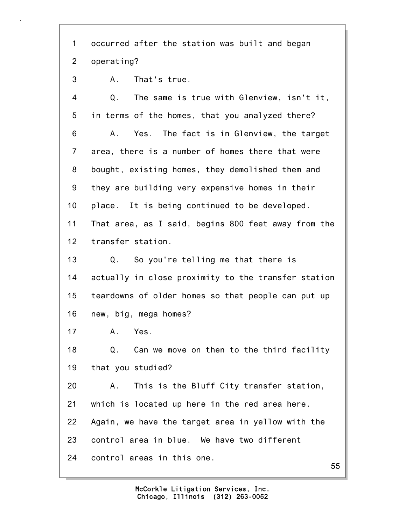1 occurred after the station was built and began 2 operating?

3 A. That's true.

4 Q. The same is true with Glenview, isn't it, 5 in terms of the homes, that you analyzed there? 6 A. Yes. The fact is in Glenview, the target 7 area, there is a number of homes there that were 8 bought, existing homes, they demolished them and 9 they are building very expensive homes in their 10 place. It is being continued to be developed. 11 That area, as I said, begins 800 feet away from the 12 transfer station. 13 Q. So you're telling me that there is 14 actually in close proximity to the transfer station 15 teardowns of older homes so that people can put up 16 new, big, mega homes? 17 A. Yes. 18 Q. Can we move on then to the third facility 19 that you studied? 20 A. This is the Bluff City transfer station, 21 which is located up here in the red area here. 22 Again, we have the target area in yellow with the 23 control area in blue. We have two different 24 control areas in this one.

55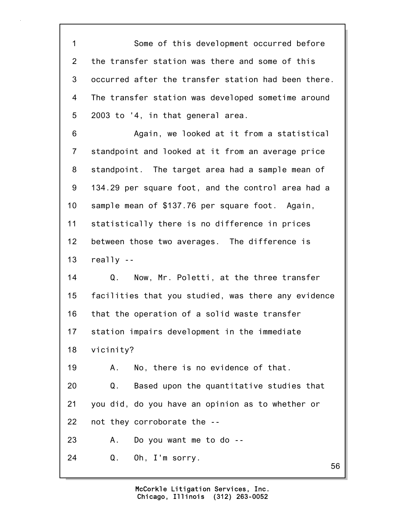1 Some of this development occurred before 2 the transfer station was there and some of this 3 occurred after the transfer station had been there. 4 The transfer station was developed sometime around 5 2003 to '4, in that general area. 6 Again, we looked at it from a statistical 7 standpoint and looked at it from an average price 8 standpoint. The target area had a sample mean of 9 134.29 per square foot, and the control area had a 10 sample mean of \$137.76 per square foot. Again, 11 statistically there is no difference in prices 12 between those two averages. The difference is 13 really -- 14 Q. Now, Mr. Poletti, at the three transfer 15 facilities that you studied, was there any evidence 16 that the operation of a solid waste transfer 17 station impairs development in the immediate 18 vicinity? 19 A. No, there is no evidence of that. 20 Q. Based upon the quantitative studies that 21 you did, do you have an opinion as to whether or

22 not they corroborate the --

23 A. Do you want me to do --

24 Q. Oh, I'm sorry.

56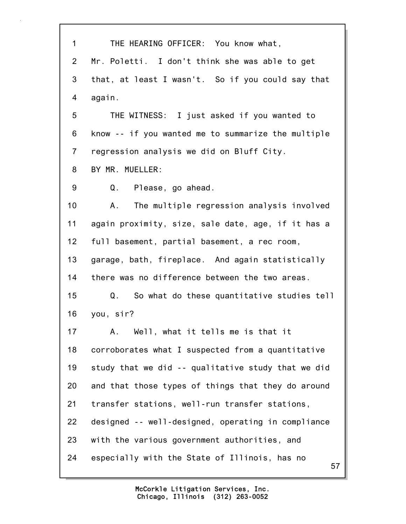| $\mathbf 1$    | THE HEARING OFFICER: You know what,                 |
|----------------|-----------------------------------------------------|
| $\overline{2}$ | Mr. Poletti. I don't think she was able to get      |
| 3              | that, at least I wasn't. So if you could say that   |
| 4              | again.                                              |
| 5              | THE WITNESS: I just asked if you wanted to          |
| 6              | know -- if you wanted me to summarize the multiple  |
| $\overline{7}$ | regression analysis we did on Bluff City.           |
| 8              | BY MR. MUELLER:                                     |
| 9              | Q. Please, go ahead.                                |
| 10             | The multiple regression analysis involved<br>A.     |
| 11             | again proximity, size, sale date, age, if it has a  |
| 12             | full basement, partial basement, a rec room,        |
| 13             | garage, bath, fireplace. And again statistically    |
| 14             | there was no difference between the two areas.      |
| 15             | So what do these quantitative studies tell<br>Q.    |
| 16             | you, sir?                                           |
| 17             | Well, what it tells me is that it<br>Α.             |
| 18             | corroborates what I suspected from a quantitative   |
| 19             | study that we did -- qualitative study that we did  |
| 20             | and that those types of things that they do around  |
| 21             | transfer stations, well-run transfer stations,      |
| 22             | designed -- well-designed, operating in compliance  |
| 23             | with the various government authorities, and        |
| 24             | especially with the State of Illinois, has no<br>57 |

 $5/$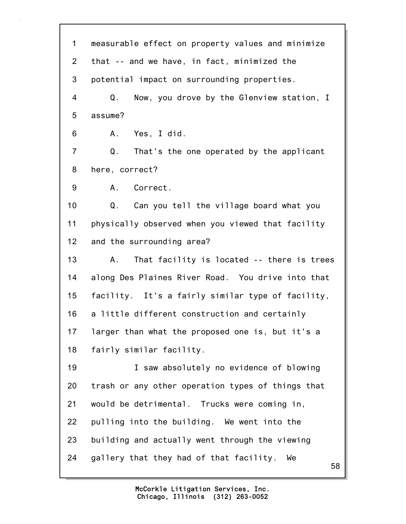58 1 measurable effect on property values and minimize 2 that -- and we have, in fact, minimized the 3 potential impact on surrounding properties. 4 Q. Now, you drove by the Glenview station, I 5 assume? 6 A. Yes, I did. 7 Q. That's the one operated by the applicant 8 here, correct? 9 A. Correct. 10 Q. Can you tell the village board what you 11 physically observed when you viewed that facility 12 and the surrounding area? 13 A. That facility is located -- there is trees 14 along Des Plaines River Road. You drive into that 15 facility. It's a fairly similar type of facility, 16 a little different construction and certainly 17 larger than what the proposed one is, but it's a 18 fairly similar facility. 19 I saw absolutely no evidence of blowing 20 trash or any other operation types of things that 21 would be detrimental. Trucks were coming in, 22 pulling into the building. We went into the 23 building and actually went through the viewing 24 gallery that they had of that facility. We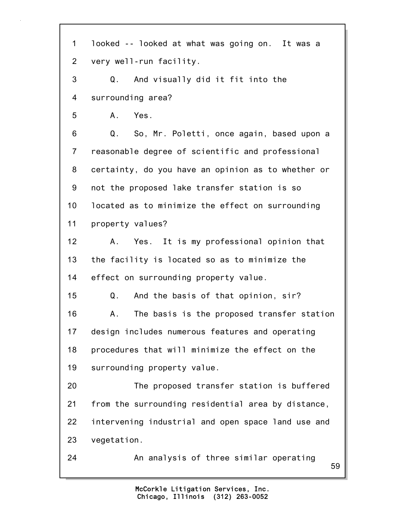59 1 looked -- looked at what was going on. It was a 2 very well-run facility. 3 Q. And visually did it fit into the 4 surrounding area? 5 A. Yes. 6 Q. So, Mr. Poletti, once again, based upon a 7 reasonable degree of scientific and professional 8 certainty, do you have an opinion as to whether or 9 not the proposed lake transfer station is so 10 located as to minimize the effect on surrounding 11 property values? 12 A. Yes. It is my professional opinion that 13 the facility is located so as to minimize the 14 effect on surrounding property value. 15 Q. And the basis of that opinion, sir? 16 A. The basis is the proposed transfer station 17 design includes numerous features and operating 18 procedures that will minimize the effect on the 19 surrounding property value. 20 The proposed transfer station is buffered 21 from the surrounding residential area by distance, 22 intervening industrial and open space land use and 23 vegetation. 24 An analysis of three similar operating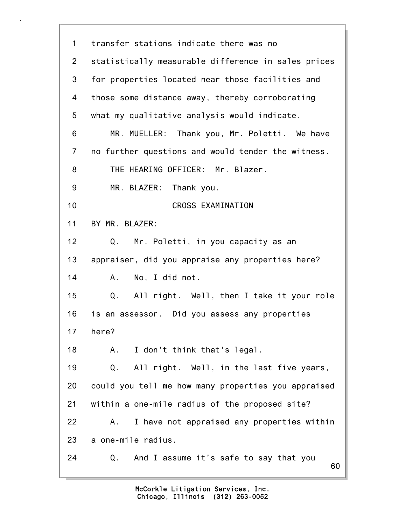60 1 transfer stations indicate there was no 2 statistically measurable difference in sales prices 3 for properties located near those facilities and 4 those some distance away, thereby corroborating 5 what my qualitative analysis would indicate. 6 MR. MUELLER: Thank you, Mr. Poletti. We have 7 no further questions and would tender the witness. 8 THE HEARING OFFICER: Mr. Blazer. 9 MR. BLAZER: Thank you. 10 CROSS EXAMINATION 11 BY MR. BLAZER: 12 Q. Mr. Poletti, in you capacity as an 13 appraiser, did you appraise any properties here? 14 A. No, I did not. 15 Q. All right. Well, then I take it your role 16 is an assessor. Did you assess any properties 17 here? 18 A. I don't think that's legal. 19 Q. All right. Well, in the last five years, 20 could you tell me how many properties you appraised 21 within a one-mile radius of the proposed site? 22 A. I have not appraised any properties within 23 a one-mile radius. 24 Q. And I assume it's safe to say that you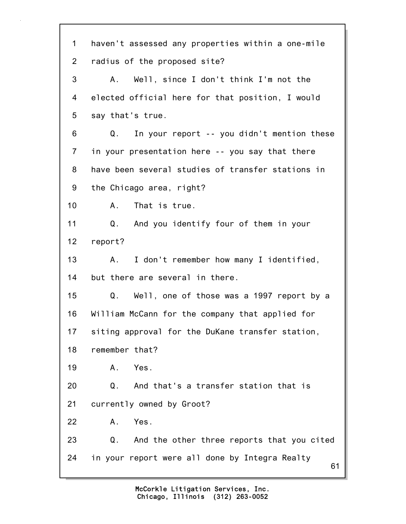61 1 haven't assessed any properties within a one-mile 2 radius of the proposed site? 3 A. Well, since I don't think I'm not the 4 elected official here for that position, I would 5 say that's true. 6 Q. In your report -- you didn't mention these 7 in your presentation here -- you say that there 8 have been several studies of transfer stations in 9 the Chicago area, right? 10 A. That is true. 11 Q. And you identify four of them in your 12 report? 13 A. I don't remember how many I identified, 14 but there are several in there. 15 Q. Well, one of those was a 1997 report by a 16 William McCann for the company that applied for 17 siting approval for the DuKane transfer station, 18 remember that? 19 A. Yes. 20 Q. And that's a transfer station that is 21 currently owned by Groot? 22 A. Yes. 23 Q. And the other three reports that you cited 24 in your report were all done by Integra Realty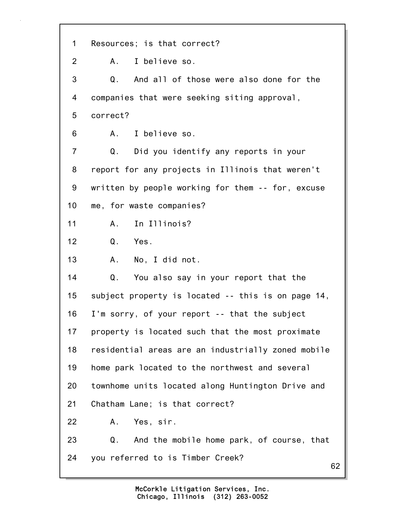62 1 Resources; is that correct? 2 A. I believe so. 3 Q. And all of those were also done for the 4 companies that were seeking siting approval, 5 correct? 6 A. I believe so. 7 Q. Did you identify any reports in your 8 report for any projects in Illinois that weren't 9 written by people working for them -- for, excuse 10 me, for waste companies? 11 A. In Illinois? 12 Q. Yes. 13 A. No, I did not. 14 Q. You also say in your report that the 15 subject property is located -- this is on page 14, 16 I'm sorry, of your report -- that the subject 17 property is located such that the most proximate 18 residential areas are an industrially zoned mobile 19 home park located to the northwest and several 20 townhome units located along Huntington Drive and 21 Chatham Lane; is that correct? 22 A. Yes, sir. 23 Q. And the mobile home park, of course, that 24 you referred to is Timber Creek?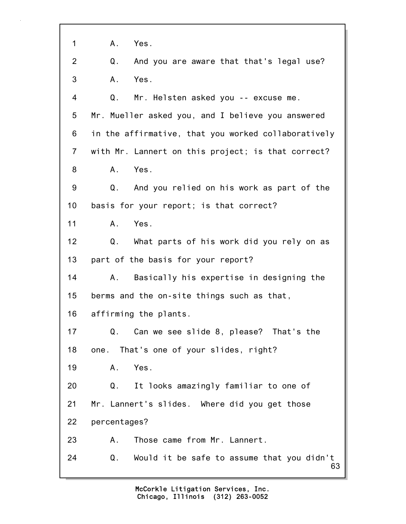63 1 A. Yes. 2 Q. And you are aware that that's legal use? 3 A. Yes. 4 Q. Mr. Helsten asked you -- excuse me. 5 Mr. Mueller asked you, and I believe you answered 6 in the affirmative, that you worked collaboratively 7 with Mr. Lannert on this project; is that correct? 8 A. Yes. 9 Q. And you relied on his work as part of the 10 basis for your report; is that correct? 11 A. Yes. 12 Q. What parts of his work did you rely on as 13 part of the basis for your report? 14 A. Basically his expertise in designing the 15 berms and the on-site things such as that, 16 affirming the plants. 17 Q. Can we see slide 8, please? That's the 18 one. That's one of your slides, right? 19 A. Yes. 20 Q. It looks amazingly familiar to one of 21 Mr. Lannert's slides. Where did you get those 22 percentages? 23 A. Those came from Mr. Lannert. 24 Q. Would it be safe to assume that you didn't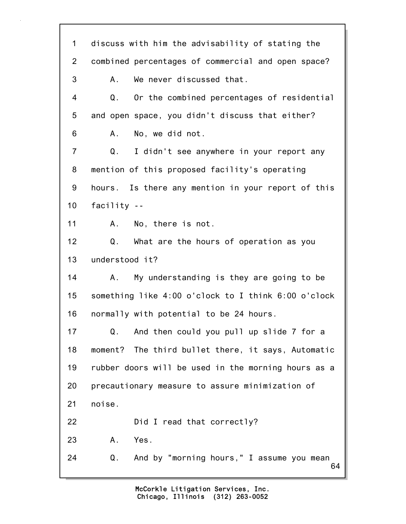64 1 discuss with him the advisability of stating the 2 combined percentages of commercial and open space? 3 A. We never discussed that. 4 Q. Or the combined percentages of residential 5 and open space, you didn't discuss that either? 6 A. No, we did not. 7 Q. I didn't see anywhere in your report any 8 mention of this proposed facility's operating 9 hours. Is there any mention in your report of this 10 facility -- 11 A. No, there is not. 12 Q. What are the hours of operation as you 13 understood it? 14 A. My understanding is they are going to be 15 something like 4:00 o'clock to I think 6:00 o'clock 16 normally with potential to be 24 hours. 17 Q. And then could you pull up slide 7 for a 18 moment? The third bullet there, it says, Automatic 19 rubber doors will be used in the morning hours as a 20 precautionary measure to assure minimization of 21 noise. 22 Did I read that correctly? 23 A. Yes. 24 Q. And by "morning hours," I assume you mean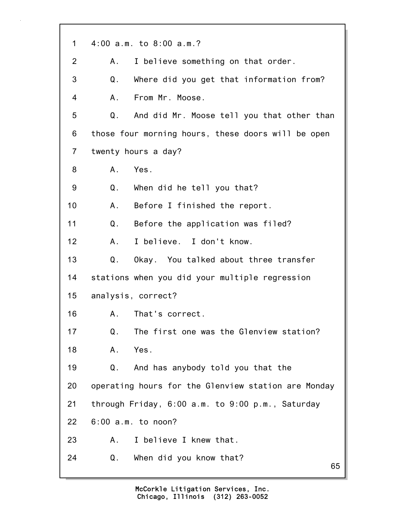| $\mathbf 1$    | 4:00 a.m. to 8:00 a.m.?                             |
|----------------|-----------------------------------------------------|
| $\overline{2}$ | I believe something on that order.<br>А.            |
| 3              | Where did you get that information from?<br>Q.      |
| 4              | From Mr. Moose.<br>Α.                               |
| 5              | And did Mr. Moose tell you that other than<br>Q.    |
| 6              | those four morning hours, these doors will be open  |
| $\overline{7}$ | twenty hours a day?                                 |
| 8              | Yes.<br>А.                                          |
| 9              | Q.<br>When did he tell you that?                    |
| 10             | Before I finished the report.<br>Α.                 |
| 11             | Q.<br>Before the application was filed?             |
| 12             | I believe. I don't know.<br>Α.                      |
| 13             | Q.<br>Okay. You talked about three transfer         |
| 14             | stations when you did your multiple regression      |
| 15             | analysis, correct?                                  |
| 16             | A. That's correct.                                  |
| 17             | The first one was the Glenview station?<br>Q.       |
| 18             | Yes.<br>Α.                                          |
| 19             | And has anybody told you that the<br>Q.             |
| 20             | operating hours for the Glenview station are Monday |
| 21             | through Friday, 6:00 a.m. to 9:00 p.m., Saturday    |
| 22             | $6:00$ a.m. to noon?                                |
| 23             | I believe I knew that.<br>А.                        |
| 24             | When did you know that?<br>Q.                       |
|                | 65                                                  |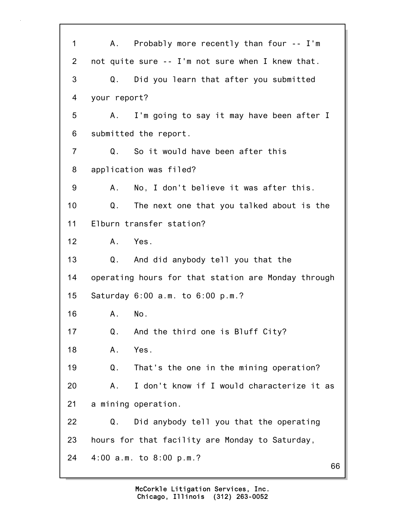66 1 A. Probably more recently than four -- I'm 2 not quite sure -- I'm not sure when I knew that. 3 Q. Did you learn that after you submitted 4 your report? 5 A. I'm going to say it may have been after I 6 submitted the report. 7 Q. So it would have been after this 8 application was filed? 9 A. No, I don't believe it was after this. 10 Q. The next one that you talked about is the 11 Elburn transfer station? 12 A. Yes. 13 Q. And did anybody tell you that the 14 operating hours for that station are Monday through 15 Saturday 6:00 a.m. to 6:00 p.m.? 16 A. No. 17 Q. And the third one is Bluff City? 18 A. Yes. 19 Q. That's the one in the mining operation? 20 A. I don't know if I would characterize it as 21 a mining operation. 22 Q. Did anybody tell you that the operating 23 hours for that facility are Monday to Saturday, 24 4:00 a.m. to 8:00 p.m.?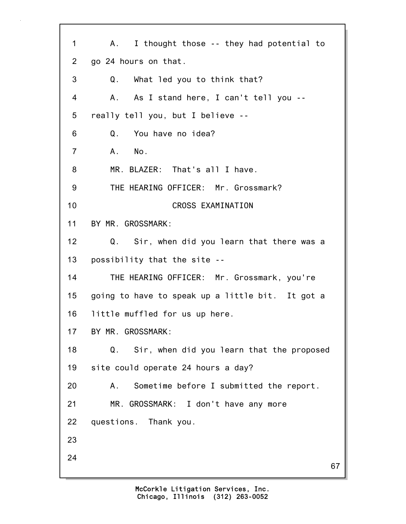67 1 A. I thought those -- they had potential to 2 go 24 hours on that. 3 Q. What led you to think that? 4 A. As I stand here, I can't tell you -- 5 really tell you, but I believe -- 6 Q. You have no idea? 7 A. No. 8 MR. BLAZER: That's all I have. 9 THE HEARING OFFICER: Mr. Grossmark? 10 CROSS EXAMINATION 11 BY MR. GROSSMARK: 12 Q. Sir, when did you learn that there was a 13 possibility that the site -- 14 THE HEARING OFFICER: Mr. Grossmark, you're 15 going to have to speak up a little bit. It got a 16 little muffled for us up here. 17 BY MR. GROSSMARK: 18 Q. Sir, when did you learn that the proposed 19 site could operate 24 hours a day? 20 A. Sometime before I submitted the report. 21 MR. GROSSMARK: I don't have any more 22 questions. Thank you. 23 24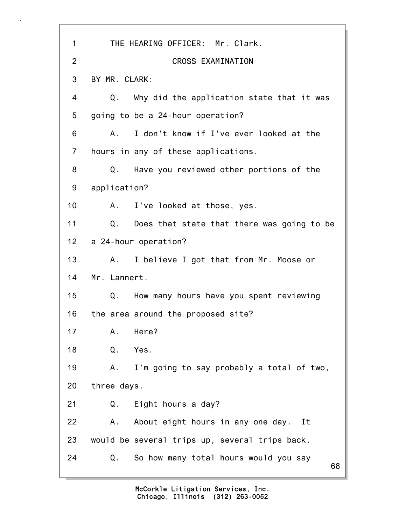| 1              | THE HEARING OFFICER: Mr. Clark.                           |
|----------------|-----------------------------------------------------------|
| $\overline{2}$ | CROSS EXAMINATION                                         |
| 3              | BY MR. CLARK:                                             |
| 4              | Why did the application state that it was<br>Q.           |
| 5              | going to be a 24-hour operation?                          |
| 6              | I don't know if I've ever looked at the<br>A.             |
| $\overline{7}$ | hours in any of these applications.                       |
| 8              | Have you reviewed other portions of the<br>Q.             |
| 9              | application?                                              |
| 10             | A. I've looked at those, yes.                             |
| 11             | $Q_{\perp}$<br>Does that state that there was going to be |
| 12             | a 24-hour operation?                                      |
| 13             | I believe I got that from Mr. Moose or<br>A.,             |
| 14             | Mr. Lannert.                                              |
| 15             | Q. How many hours have you spent reviewing                |
| 16             | the area around the proposed site?                        |
| 17             | Here?<br>Α.                                               |
| 18             | Yes.<br>Q.                                                |
| 19             | I'm going to say probably a total of two,<br>Α.           |
| 20             | three days.                                               |
| 21             | Eight hours a day?<br>Q.                                  |
| 22             | About eight hours in any one day. It<br>Α.                |
| 23             | would be several trips up, several trips back.            |
| 24             | So how many total hours would you say<br>Q.<br>68         |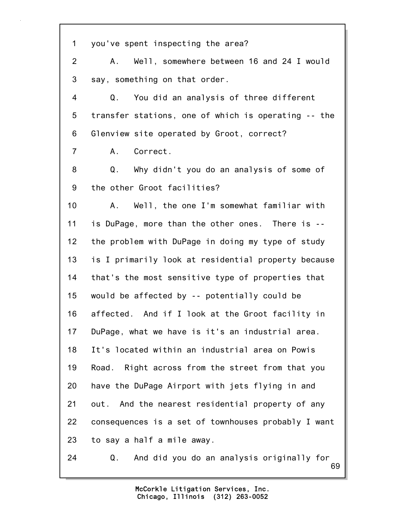| $\mathbf 1$    | you've spent inspecting the area?                     |
|----------------|-------------------------------------------------------|
| $\overline{2}$ | Well, somewhere between 16 and 24 I would<br>A.       |
| 3              | say, something on that order.                         |
| 4              | You did an analysis of three different<br>Q.          |
| 5              | transfer stations, one of which is operating -- the   |
| 6              | Glenview site operated by Groot, correct?             |
| $\overline{7}$ | Correct.<br>A.,                                       |
| 8              | Q.<br>Why didn't you do an analysis of some of        |
| 9              | the other Groot facilities?                           |
| 10             | Well, the one I'm somewhat familiar with<br>A.,       |
| 11             | is DuPage, more than the other ones. There is --      |
| 12             | the problem with DuPage in doing my type of study     |
| 13             | is I primarily look at residential property because   |
| 14             | that's the most sensitive type of properties that     |
| 15             | would be affected by -- potentially could be          |
| 16             | affected. And if I look at the Groot facility in      |
| 17             | DuPage, what we have is it's an industrial area.      |
| 18             | It's located within an industrial area on Powis       |
| 19             | Road. Right across from the street from that you      |
| 20             | have the DuPage Airport with jets flying in and       |
| 21             | out. And the nearest residential property of any      |
| 22             | consequences is a set of townhouses probably I want   |
| 23             | to say a half a mile away.                            |
| 24             | And did you do an analysis originally for<br>Q.<br>69 |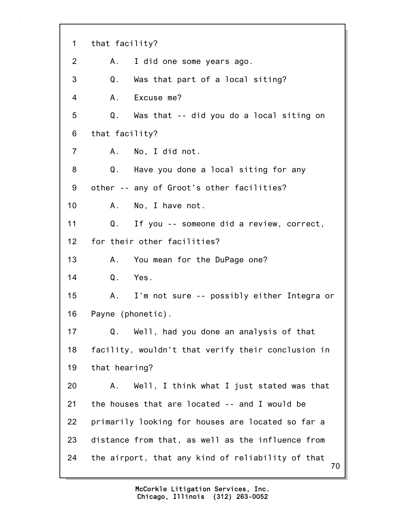70 1 that facility? 2 A. I did one some years ago. 3 Q. Was that part of a local siting? 4 A. Excuse me? 5 Q. Was that -- did you do a local siting on 6 that facility? 7 A. No, I did not. 8 Q. Have you done a local siting for any 9 other -- any of Groot's other facilities? 10 A. No, I have not. 11 Q. If you -- someone did a review, correct, 12 for their other facilities? 13 A. You mean for the DuPage one? 14 Q. Yes. 15 A. I'm not sure -- possibly either Integra or 16 Payne (phonetic). 17 Q. Well, had you done an analysis of that 18 facility, wouldn't that verify their conclusion in 19 that hearing? 20 A. Well, I think what I just stated was that 21 the houses that are located -- and I would be 22 primarily looking for houses are located so far a 23 distance from that, as well as the influence from 24 the airport, that any kind of reliability of that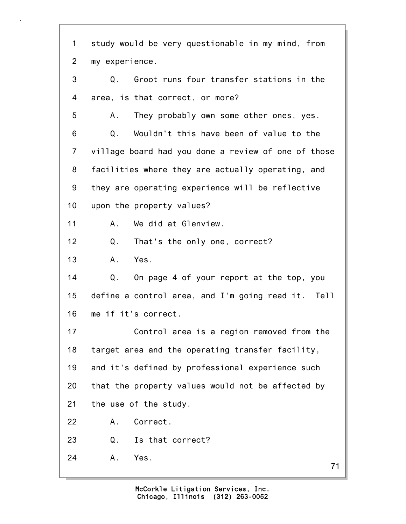71 1 study would be very questionable in my mind, from 2 my experience. 3 Q. Groot runs four transfer stations in the 4 area, is that correct, or more? 5 A. They probably own some other ones, yes. 6 Q. Wouldn't this have been of value to the 7 village board had you done a review of one of those 8 facilities where they are actually operating, and 9 they are operating experience will be reflective 10 upon the property values? 11 A. We did at Glenview. 12 Q. That's the only one, correct? 13 A. Yes. 14 Q. On page 4 of your report at the top, you 15 define a control area, and I'm going read it. Tell 16 me if it's correct. 17 Control area is a region removed from the 18 target area and the operating transfer facility, 19 and it's defined by professional experience such 20 that the property values would not be affected by 21 the use of the study. 22 A. Correct. 23 Q. Is that correct? 24 A. Yes.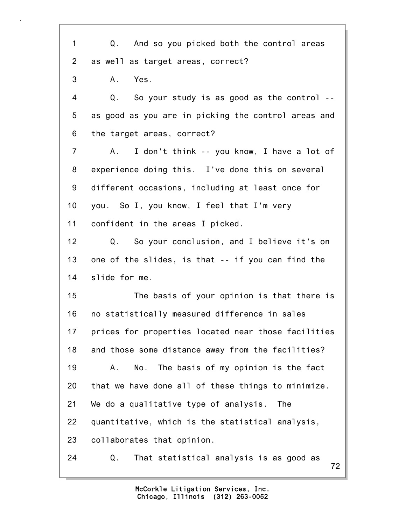72 1 Q. And so you picked both the control areas 2 as well as target areas, correct? 3 A. Yes. 4 Q. So your study is as good as the control -- 5 as good as you are in picking the control areas and 6 the target areas, correct? 7 A. I don't think -- you know, I have a lot of 8 experience doing this. I've done this on several 9 different occasions, including at least once for 10 you. So I, you know, I feel that I'm very 11 confident in the areas I picked. 12 Q. So your conclusion, and I believe it's on 13 one of the slides, is that -- if you can find the 14 slide for me. 15 The basis of your opinion is that there is 16 no statistically measured difference in sales 17 prices for properties located near those facilities 18 and those some distance away from the facilities? 19 A. No. The basis of my opinion is the fact 20 that we have done all of these things to minimize. 21 We do a qualitative type of analysis. The 22 quantitative, which is the statistical analysis, 23 collaborates that opinion. 24 Q. That statistical analysis is as good as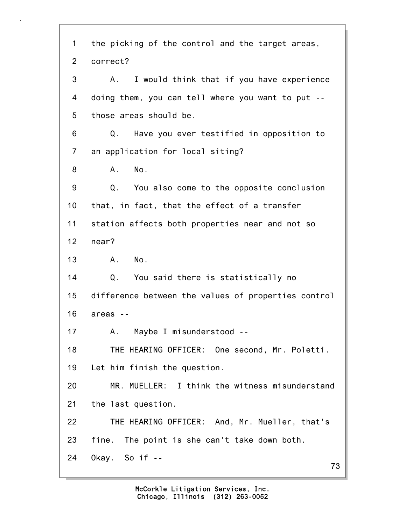73 1 the picking of the control and the target areas, 2 correct? 3 A. I would think that if you have experience 4 doing them, you can tell where you want to put -- 5 those areas should be. 6 Q. Have you ever testified in opposition to 7 an application for local siting? 8 A. No. 9 Q. You also come to the opposite conclusion 10 that, in fact, that the effect of a transfer 11 station affects both properties near and not so 12 near? 13 A. No. 14 Q. You said there is statistically no 15 difference between the values of properties control 16 areas -- 17 A. Maybe I misunderstood -- 18 THE HEARING OFFICER: One second, Mr. Poletti. 19 Let him finish the question. 20 MR. MUELLER: I think the witness misunderstand 21 the last question. 22 THE HEARING OFFICER: And, Mr. Mueller, that's 23 fine. The point is she can't take down both. 24 Okay. So if --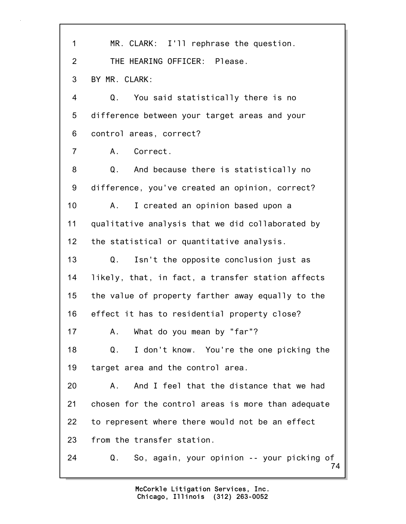| 1              | MR. CLARK: I'll rephrase the question.                 |
|----------------|--------------------------------------------------------|
| $\overline{2}$ | THE HEARING OFFICER: Please.                           |
| 3              | BY MR. CLARK:                                          |
| 4              | Q.<br>You said statistically there is no               |
| 5              | difference between your target areas and your          |
| 6              | control areas, correct?                                |
| $\overline{7}$ | A.<br>Correct.                                         |
| 8              | Q.<br>And because there is statistically no            |
| 9              | difference, you've created an opinion, correct?        |
| 10             | I created an opinion based upon a<br>A.                |
| 11             | qualitative analysis that we did collaborated by       |
| 12             | the statistical or quantitative analysis.              |
| 13             | Isn't the opposite conclusion just as<br>Q.            |
| 14             | likely, that, in fact, a transfer station affects      |
| 15             | the value of property farther away equally to the      |
| 16             | effect it has to residential property close?           |
| 17             | What do you mean by "far"?<br>А.                       |
| 18             | Q.<br>I don't know. You're the one picking the         |
| 19             | target area and the control area.                      |
| 20             | And I feel that the distance that we had<br>Α.         |
| 21             | chosen for the control areas is more than adequate     |
| 22             | to represent where there would not be an effect        |
| 23             | from the transfer station.                             |
| 24             | So, again, your opinion -- your picking of<br>Q.<br>74 |
|                |                                                        |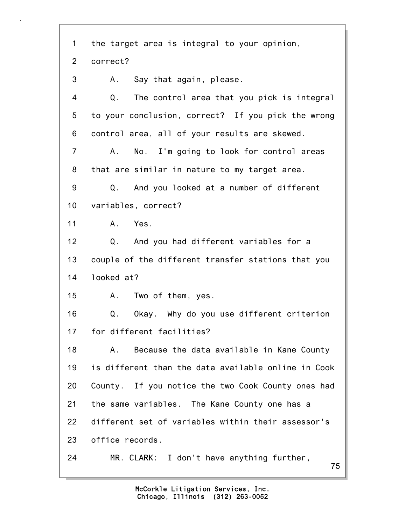75 1 the target area is integral to your opinion, 2 correct? 3 A. Say that again, please. 4 Q. The control area that you pick is integral 5 to your conclusion, correct? If you pick the wrong 6 control area, all of your results are skewed. 7 A. No. I'm going to look for control areas 8 that are similar in nature to my target area. 9 Q. And you looked at a number of different 10 variables, correct? 11 A. Yes. 12 Q. And you had different variables for a 13 couple of the different transfer stations that you 14 looked at? 15 A. Two of them, yes. 16 Q. Okay. Why do you use different criterion 17 for different facilities? 18 A. Because the data available in Kane County 19 is different than the data available online in Cook 20 County. If you notice the two Cook County ones had 21 the same variables. The Kane County one has a 22 different set of variables within their assessor's 23 office records. 24 MR. CLARK: I don't have anything further,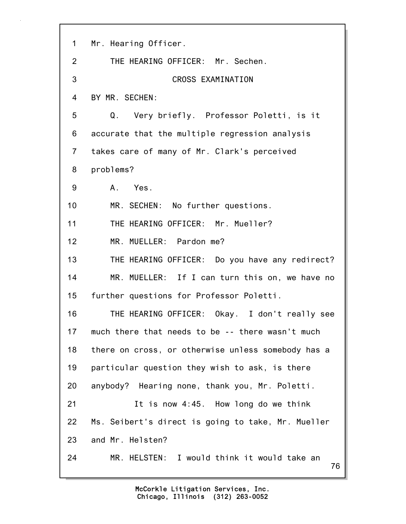| $\mathbf 1$    | Mr. Hearing Officer.                               |
|----------------|----------------------------------------------------|
| $\overline{2}$ | THE HEARING OFFICER: Mr. Sechen.                   |
| 3              | CROSS EXAMINATION                                  |
| 4              | BY MR. SECHEN:                                     |
| 5              | Q. Very briefly. Professor Poletti, is it          |
| 6              | accurate that the multiple regression analysis     |
| $\overline{7}$ | takes care of many of Mr. Clark's perceived        |
| 8              | problems?                                          |
| 9              | A. Yes.                                            |
| 10             | MR. SECHEN: No further questions.                  |
| 11             | THE HEARING OFFICER: Mr. Mueller?                  |
| 12             | MR. MUELLER: Pardon me?                            |
| 13             | THE HEARING OFFICER: Do you have any redirect?     |
| 14             | MR. MUELLER: If I can turn this on, we have no     |
| 15             | further questions for Professor Poletti.           |
| 16             | THE HEARING OFFICER: Okay. I don't really see      |
| 17             | much there that needs to be -- there wasn't much   |
| 18             | there on cross, or otherwise unless somebody has a |
| 19             | particular question they wish to ask, is there     |
| 20             | anybody? Hearing none, thank you, Mr. Poletti.     |
| 21             | It is now 4:45. How long do we think               |
| 22             | Ms. Seibert's direct is going to take, Mr. Mueller |
| 23             | and Mr. Helsten?                                   |
| 24             | MR. HELSTEN: I would think it would take an<br>76  |
|                |                                                    |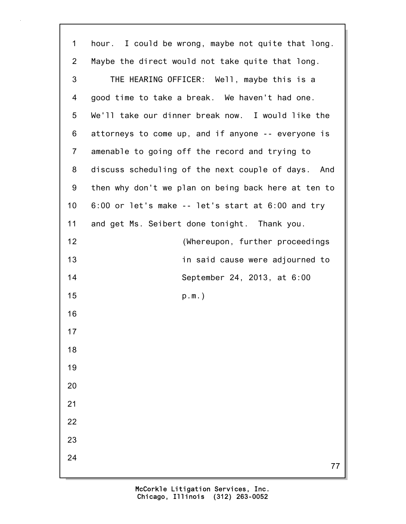| 1              | hour. I could be wrong, maybe not quite that long.  |
|----------------|-----------------------------------------------------|
| $\overline{2}$ | Maybe the direct would not take quite that long.    |
| 3              | THE HEARING OFFICER: Well, maybe this is a          |
| 4              | good time to take a break. We haven't had one.      |
| 5              | We'll take our dinner break now. I would like the   |
| 6              | attorneys to come up, and if anyone -- everyone is  |
| $\overline{7}$ | amenable to going off the record and trying to      |
| 8              | discuss scheduling of the next couple of days. And  |
| 9              | then why don't we plan on being back here at ten to |
| 10             | 6:00 or let's make -- let's start at 6:00 and try   |
| 11             | and get Ms. Seibert done tonight. Thank you.        |
| 12             | (Whereupon, further proceedings                     |
| 13             | in said cause were adjourned to                     |
| 14             | September 24, 2013, at 6:00                         |
| 15             | $p.m.$ )                                            |
| 16             |                                                     |
| 17             |                                                     |
| 18             |                                                     |
| 19             |                                                     |
| 20             |                                                     |
| 21             |                                                     |
| 22             |                                                     |
| 23             |                                                     |
| 24             | 77                                                  |
|                |                                                     |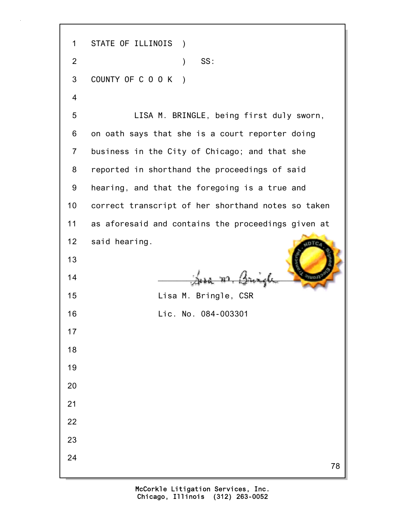78 1 STATE OF ILLINOIS ) 2 ) SS: 3 COUNTY OF C O O K ) 4 5 LISA M. BRINGLE, being first duly sworn, 6 on oath says that she is a court reporter doing 7 business in the City of Chicago; and that she 8 reported in shorthand the proceedings of said 9 hearing, and that the foregoing is a true and 10 correct transcript of her shorthand notes so taken 11 as aforesaid and contains the proceedings given at 12 said hearing. 13  $\frac{14}{\sqrt{2}}$   $\frac{14}{\sqrt{2}}$   $\frac{14}{\sqrt{2}}$ 15 Lisa M. Bringle, CSR 16 Lic. No. 084-003301 17 18 19 20 21 22 23 24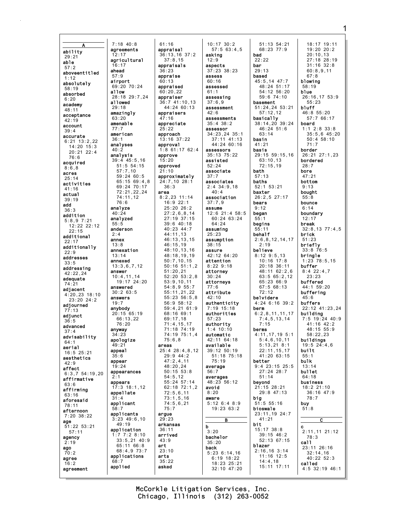A ability 29:21 able 57:2 aboveentitled 1:12 absolutely 58:19 absorbed  $6:20$ academy 48:11 acceptance 42:19 account 39:4 accurate 6:21 13:2,22 14:20 15:3 20:21 22:4 76:6 acquired 8:6,8 acres 25:14 activities 41:16 actual 39:19 add 36:3 addition 5:8,9 7:21 12:22 22:12 22:15 additional 22:17 additionally  $22:9$ addresses 33:5 addressing  $42.22, 24$ adequate 74:21 adjacent 4:20,23 18:10 23:20 24:2 adjourned 77:13 adjunct 36:5 advanced 37:4 advisability 64:1 aerial 16:5 25:21 aesthetics  $42.9$ affect 6:3,7 54:19,20 affirmative 63:6 affirming 63:16 aforesaid 78:11 afternoon 7:20 38:22 age 51:22 53:21 57:11 agency  $2:19$ ago 70:2 agree 16:2 agreement 12:17 16:17 ahead 57:9 airport allow allowed  $29.18$ 63:20 77:7  $36.1$  $40.2$ analyze 40:24 2:4 annex 13:8 13:14 annexed answer answers 19:7 anybody anyway  $34.23$ 49:21 appeal 35:6 appear 19:24 2:1 appears 58:7 68:7 applied

7:18 40:8 agreements agricultural 69:20 70:24 28:18 29:7,24 amazingly amenable american analyses analysis 39:4 45:5,16 51:5 54:15 57:7,10 59:24 60:5 65:15 69:4,8 69:24 70:17 72:21,22,24 74:11,12 76:6 analyzed 55:5 anderson annexation 13:3,6,7,12 10:4,11,14 19:17 24:20 answered 30:2 63:5 20:15 65:19 66:13,22 76:20 apologize appearances 17:3 18:1,12 appellate 31:4 applicant applicants 3:23 49:6,10 49:19 application 1:7 7:2 8:10 33:5,21 40:9 65:11 66:8 68:4,9 73:7 applications 61:16 appraisal 36:13,16 37:2 37:8,15 appraisals 36:23 appraise 60:13 appraised  $60.20.22$ appraiser 36:7 41:10,13  $44.24$  60.13 appraisers 47:16 appreciate 25:22 approach 13:16 37:22 approval 1:8 61:17 62:4 approve 15:20 approved 21:10 approximately 24:7,10 28:1 36:3 area 8:2,23 11:14 16:9 22:1 25:20 26:2 27:2,6,8,14 27:19 37:15 39:6 40:18 40:23 44:7 44:11,13 46:13,13,15 46:15,19 48:10,13,16 48:18,19,19 50:7,10,15 50:16 51:1,2 51:20,21 52:20 53:2,8 53:9,10,11 54:8,9 55:7 55:11,21,22  $55.23.56.5$  8 56:9 58:12 59:4,21 61:9 68:16 69:1 69:17,18 71:4,15,17 71:18 74:19 74:19 75:1,4  $75.6$   $8$ areas 25:4 28:4,8,12  $29.9 14.2$ 47:2,4,11 48:20,24 50:15 53:8 54:5,12 55:24 57:14 62:18 72:1,2 72:5,6,11 73:1,5,16 74:5,6,21 75:7 argue 29:23 arkansas 36:11 arrived 43:9 art 23:10 arts 35:22 asked

10:17 30:2 57:5 63:4,5 asking 12:9 aspects 37:23 38:23 assess 60:16 assessed  $61:1$ assessing 37:6,9 assessment  $42:6$ assessments 35:4 38:2 assessor 34:23,24 35:1 37:11 41:13 44:24 60:16 assessors 35:13 75:22 assisted 52:24 associate 37:7 associates 2:4 34:9,18  $40 \cdot A$ association 37:7,9 assume 12:6 21:4 58:5 60:24 63:24 64:24 assuming 25:23 assumption 38:15 assure 42:12 64:20 attention 8:22 9:18 attorney 30:24 attorneys 77:6 attribute  $42 \cdot 10$ authenticity 7:19 15:18 authorities 57:23 authority 1:4 10:10 automatic 42:11 64:18 available 39:12 50:19 51:18 75:18 75:19 average 56:7 averages 48:23 56:12 avoid 8:20 aware 5:12 6:4 8:9 19:23 63:2 B b 3:20 bachelor 35:20 back 5:23 6:14,16 6:19 18:22 18:23 25:21 32:10 47:20

51:13 54:21 68:23 77:9 bad 22:22 bar 29:13 based 45:5,14 47:7 48:24 51:17 54:12 56:20 59:6 74:10 basement 51:24,24 53:21 57:12,12 basically 38:14,20 39:24 46:24 51:6 63:14 basin 41:21 basis 29:15 59:15,16 63:10,13  $72 \cdot 15$ , 19 bath 57:13 baths 52:1 53:21 baxter 26:2,5 27:17 bears 9:12 began 55:1 begins 55:11 behalf 2:6,8,12,14,17 2:19 believe 8:12 9:5,13 10:16 17:8 20:18 36:11 48:11 62:2,6 63:5 65:2,12 65:23 66:9 67:5 68:13 72:12 belvidere 4:24 6:16 39:2 berm 6:2,8,11,11,17 7:4,5,13,14 7:15 berms 4:11,17,19 5:1  $5:46,10,11$ 5:13,21 8:1 22:11,15,17 41:20 63:15 better 9:4 23:15 25:5 27:24 28:7 51:14 beyond 21:15 28:21 29:8 47:13 big  $-51:5$  55:16 bioswale 23:11,19 24:7 41:21 bit 15:17 38:8 39:15 46:2 52:13 67:15 blazer 2:16,16 3:14 11:16 12:5 14:4,18 15:11 17:11

18:17 19:11 19:20 20:2 20:10,13 27:18 28:19 31:16 32:8 60:8,9,11 67:8 blowing 58:19 blue 26:16,17 53:9 55:23 bluff 46:8 55:20 57:7 66:17 board 1:1 2:8 33:8 35:5,6 45:20 50:4 58:10 71:7 border 26:21 27:1,23 bordered 28:7 bore 47:21 bottom 9:13 bought 55:8 bounce 6:14 boundary 12:17 break 32:8,13 77:4,5 brick 51:23 briefly 33:8 76:5 bringle 1:23 78:5,15 buffer 8:4 22:4,7 23:23 buffered 44:1 59:20 buffering  $45.6$ buffers 22:12 41:23,24 building 7:5 19:24 40:9 41:16 42:2 48:15 55:9 58:22,23 buildings 19:5 24:4,6 built 55:1 bulk 13:14 bullet 64:18 business 18:2 21:10 36:16 47:9 78:7 buy 51:8 C c 2:11,11 21:12 78:3 call 23:11 26:16 32:14,16  $40:22^{6}52:3$ called 4:5 32:19 46:1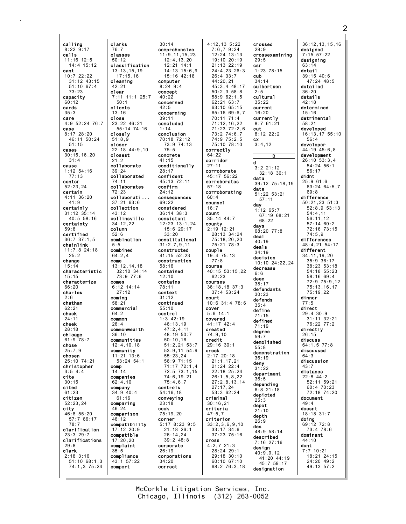calling 8:22 9:17 calls 11:16 12:5 14:4 15:12 cant  $10:7$  22:22 31:12 43:15 51:10 67:4 73:23 capacity 60:12 cards 35:3 care 4:9 52:24 76:7 case  $8.17$  28.20 46:11 50:24 51:15 cases 30:15,16,20 31:4 cause 1:12 54:16 77:13 center 52:23,24 certain 4:11 36:20 41:9 certainly 31:12 35:14 40:5 58:16 certainty 59:8 certified 36:7 37:1,5 chainlink 11:7,8 24:18  $25:2$ change 15:14 characteristic 15:15 characterize 66:20 charles  $2.6$ chatham  $62.21$ check 24:11 cheek 28:18 chicago 61:9 78:7 chose 25:7,9 chosen 25:10 74:21 christopher 3:5 4:4 cite 30:15 cited 61:23 citizen 52:23,24 city 46:8 55:20 57:7 66:17 78:7 clarification 23:3 29:7 clarifications 29:8 clark 2:18 3:16 51:10 68:1,3 74:1,3 75:24

clarks 76:7 classes 50:12 classification 13:13,15,19 17:15,16 cleaning  $42.21$ clear 7:11 11:1 25:7  $50:1$ clients 13:16 close 23:22 46:21 55:14 74:16 closely  $51:8.9$ closer 22:18 44:9,10 closest 21:2 collaborate 39:24 collaborated 74:11 collaborates 72:23 collaborati ... 37:21 63:6 collection 43:12 collinsville 34:12,22 column 52:6 combination 5:5 combined 64:2,4 come 13:12,14,18 32:10 34:14 73:9 77:6 comes 6:12 14:14 27:12 coming 58:21 commercial 64:2 common  $26:4$ commonwealth 36:10 communities 12:4,10,18 community 11:21 13:6 53:24 54:1 comp 14:14 companies 62:4,10 company 34:9 40:4  $61:16$ comparing 46:24 comparison 46:12 compatibility 17:12 20:9 compatible 17:20,20 complaint  $35:5$ compliance 43:1 57:22 comport

30:14 comprehensive 11:9,11,15,23 12:4,13,20 12:21 14:1 14:13 15:6,9 15:16 42:18 computer  $8.24$   $9.4$ concept  $40:22$ concerned  $42.5$ concerning 39:11 concluded 1:14 conclusion 70:18 72:12 73:9 74:13 75:5 concrete 41:15 conditionally 28:17 confident 45:13 72:11 confirm  $24.12$ consequences  $69:2$ considered 36:14 38:3 consistent 12:23 13:1,24 15:6 29:17 33:20 constitutional 31:2,7,9,11 constructed 41:15 52:23 construction 58:16 contained 12:10 contains 78:11 context  $31:12$ continued 55:10 control 1:3 42:19  $46:13,19$ 47:2,4,11 48:19 50:7  $50:10,16$ 51:2,21 53:7 53:9,11 54:9 55:23,24 56:9 71:15 71:17 72:1,4 72:5 73:1,15 74:6,19,21 75:4,6,7 controls 54:16,18 conveying 23:18 cook  $75 \cdot 19,20$ corner 5:17 8:23 9:5 21:18 26:1 26:14,24 39:2 48:8 corporate 26:19 corporations 34:20 correct

4:12,13 5:22 7:6,7 9:24 12:24 13:13 19:10 20:19 21:13 22:19 24:4,23 26:3 26:4 33:7 44:20,21 45:3,4 48:17 50:2,3 58:8 58:9 62:1,5 62:21 63:7 63:10 65:15 65:16 69:6,7 70:11 71:4 71:12,16,22 71:23 72:2,6 73:2 74:6,7 74:9 75:2,5 75:10 78:10 correctly 64:22 corridor 27:11 corroborate 45:17 56:22 corroborates 57:18 corroborating 60:4 counsel 16:7 count 35:14 44:7 county 2:19 12:21 28:13 34:24 75:18,20,20 75:21 78:3 couple 19:4 75:13 77:8 course 40:15 53:15,22 62:23 courses 36:18,18 37:3 37:4 53:24 court 10:6 31:4 78:6 cover 5:6 14:1 covered 41:17 42:4 created 74:9,10 credit 29:16 30:1 creek 2:17 20:18 21:1,17,21 21:24 22:4 22:18 25:24 26:1,5,8,22 27:2,8,13,14 27:17,24 53:3 62:24 criminal 30:16,21 criteria  $47:5.7$ criterion 33:2,3,6,9,10 33:17 34:6 37:23 75:16 cross 4:2,7 21:3 28:24 29:1 29:18 30:10 60:10 67:10 68:2 76:3,18

crossed 29:9 crossexamining 29:5 csr 1:23 78:15 cub 34:14 culbertson  $2.5$ cultural 35:22 current 16:20 currently 8:7 61:21 cut  $8:12$  22.2 cx 3:4,12 D d 3:2 21:12 32:18 36:1 data 39:12 75:18,19 date 51:22 53:21 57:11 day 1:12 65:7 67:19 68:21 68:22 days 68:20 77:8 deal 40:19 deals 34:19 decision 10:10 24:22,24 decrease  $6.6$ deem 38:17 defendants  $30.23$ defends 35:4 define 71:15 defined 71:19 degree 59:7 demolished 55:8 demonstration 36:19 deny 31:22 department 36:5 depending 6:8 21:18 depicted 25:3 depot 21:10 depth  $26.9$ des 48:9 58:14 described 7:16 27:16 design 40:9,9,12 41:20 44:19 45:7 59:17

designation

36:12,13,15,16 designed 7:15 57:22 designing 63:14 detail  $39:15$  40:6 47:24 48:5 detailed 36:20 details 42:18 determined 15:16 detrimental 58:21 developed 16:13,17 55:10 56:4 developer 44:19 45:6,8 development 26:10 53:3,4 54:24 56:1 56:17 didnt 25:9 61:6 63:24 64:5,7  $69.8$ difference 50:21,23 51:3 52:8,9 53:13 54:4,11 56:11,12 57:14 60:2 72:16 73:15 74:5,9 differences 48:4,21 54:17 different 34:11,19,20 35:9 36:17 38:23 53:18 54:18 55:23 58:16 69:4 72:9 75:9,12 75:13,16,17 75:19,22 dinner 77:5 direct 29:4 30:9 31:11 32:21 76:22 77:2 directly 26:15 discuss 64:1,5 77:8 discussed  $64.3$ discussion 43:7 distance 22:8 44:2 52:11 59:21 60:4 70:23 72:18 74:20 document 49:4 doesnt 18:18 31:7 doing 69:12 72:8 73:4 78:6 dominant 44:10 dont 7:7 10:21 18:21 24:15 24:20 49:2 49:13 57:2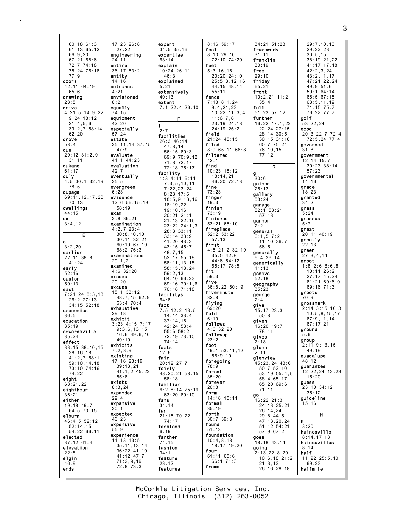60:18 61:3 61:13 65:12 66:9,20 67:21 68:6 72:7 74:18 75:24 76:16 77:9 doors 42:11 64:19  $65.6$ drawing 28:5 drive 4:21 5:14 9:22 9:24 18:12 21:4,5,6 39:2,7 58:14  $62.20$ drove 58:4 due 29:12 31:2,9 31:11 dukane 61:17 **duly**<br>4:5 30:1 32:19 78:5 dupage 69:11,12,17,20 70:13 dwellings 44:15 dx  $3:4.12$  $\overline{F}$ e  $3:2.20$ earlier  $22 \cdot 11$  38  $\cdot$  8 41:24 early 52:16 easier 50:13 east 7:21,24 8:3,18 26:2 27:13  $34.15$  52.18 economics 36:5 education 35:19 edwardsville 35:24 effect 33:15 38:10,15 38:16,18 41:2,7 58:1 59:10,14,18 73:10 74:16 74:22 eight 68:21,22 eighthour 36:21 either 19:18 49:7 64:5 70:15 elburn 46:4,5 52:12 52:14,15 54:22 66:11 elected 37:12 61:4 elevation 22:8 elgin 46:9 ends 17:23 26:8 27:22 engineering 24:11 entire 36:17 53:2 entity 14:16 entrance  $4.21$ envisioned 8:2 equally 74:15 equipment 42:20 especially 57:24 estate  $47.9$ evaluate 41:1 44:23 evaluation  $42:7$ eventually 35:5 evergreen 6:23 evidence 12:6 56:15,19 58:19 exam 3:8 36:21 examination 4:2,7 23:4 30:8,10,10 68:2 76:3 examinations 29:1,2 examined 4:6 32:20 excess 20:20 excuse 15:1 33:12 exhaustive 29:18 exhibit 3:23 4:15 7:17  $49.19$ exhibits 7:2,3,9 existing 17:16 23:19 39:13,21 55:8 exists 8:3,24 expanded 29:4 expansive 30:1 expected 46:23 expensive 55:9 experience 11:13 13:5 41:12 47:7 71:2,9,19 72:8 73:3

35:11,14 37:15 30:11 32:21 60:10 67:10 48:7,15 62:9 63:4 70:4 9:3,6,13,15 16:6 49:6,10 41:1,2 45:22 35:11,13,14 36:22 41:10 expert 34:5 35:16 expertise  $63 \cdot 14$ explain 10:24 26:11  $46.3$ explained 5:21 extensively 40:13 extent 7:1 22:4 26:10 F f 2:7 facilities 26:3 46:14 47:8,14 56:15 60:3 69:9 70:9,12 71:8 72:17 72:18 75:17 facility 1:3 4:11 6:11 7:3,5,10,11 7:22,23,24 8:23 17:6 18:5,9,13,16 18:19,22 19:10,16 20:21 21:1 21:13 22:16 23:22 24:1,3 28:3 33:11 33:14 38:9 41:20 43:3 43:15 45:7 48:7,15 52:17 55:18 58:11,13,15 58:15,18,24  $59.2, 13$ 64:10 66:23 69:16 70:1,6 70:18 71:18 facilitys 64:8 fact 7:5 12:2 13:5 14:14 33:4 37:14,16 42:24 53:4 55:6 58:2 72:19 73:10 74:14 facts 12:6 fair 20:12 27:7 fairly 48:20,21 58:15 58:18 familiar 6:2 8:14 25:19 63:20 69:10 fans 34:14 far 21:15 70:22 74:17 farmland 6:19 farther 74:15 fashion 34:1 feature 23:12 features

8:16 59:17 feel 8:10 29:10 72:10 74:20 feet 5:3,16,16  $20:20$  24:10 25:5,8,12,16 44:15 48:14 55:11 fence 7:13 8:1,24 9:4,21,23 10:22 11:3,4 11:6,7,8 23:19 24:18 24:19 25:2 field 21:24 45:15 filed 8:9 65:11 66:8 filtered 42:1 find 10:23 16:12 18:14,21 46:20 72:13 fine 73:23 finger 19:3 finish 73:19 finished 53:21 65:10 fireplace 52:2 53:22 57:13 first 4:5 21:2 32:19 35:5 42:8 44:6 54:12 65:17 78:5 fit 59:3 five 36:8,22 60:19 fiveminute  $32.8$ flying 69:20 fold 6:19 follows 4:6 32:20 followup  $23.2$ foot 49:1 53:11,12  $56.9, 10$ foregoing 78:9 forest 35:20 forever 20:8 form 14:18 15:11 formal 35:19 forth 30:7 39:8 found 51:13 foundation 10:4,8,18 18:17 19:20 four 61:11 65:6 66:1 71:3 frame

34:21 51:23 framework 31:11 franklin 30:19 free 29:10 friday 65:21 front 10:2,21 11:2 35:4 full 51:23 57:12 further 16:22 17:1,22 22:24 27:15  $28.14$   $30.5$ 30:15 31:16 60:7 75:24 76:10,15 77:12 G g  $30:6$ gained 25:13 gallery 58:24 garage 52:1 53:21 57:13 garner 2:2 general  $6:1.5$  7:2 11:10 36:7 56:5 generally  $6.4$  36.14 generically 11:13 geneva 52:18 geography 35:23 george 2:4 give 15:17 23:3 50:8 given 16:20 19:7 78:11 gives 7:18 glenn 2:11 glenview 45:23,24 48:6 50:7 52:10 53:19 55:4,6 58:4 65:17 65:20 69:6 71:11 go 16:22 21:3 24:13 25:21 26:14,24 29:8 44:5 47:13,20,24 51:12 54:21 57:9 67:2 goes 18:18 43:14 going 7:13,22 8:20 10:6,18 21:2 21:3,12 26:16 28:18

29:7,10,13 29:22,23  $30:5.15$ 38:19,21,22 41:17,17,18 42:2,3,24  $43:2.11.17$ 47:21,22,24  $49.951.6$ 59:1 64:14 66:5 67:15 68:5,11,19 71:15 75:7 76:22 77:7 golf 53:22,24 good 20:3 22:7 72:4 72:5,24 77:4 governed  $31:8$ government 12:14 15:7 30:23 38:14 57:23 governmental 14:16 grade 18:23 granted 34:2 grass  $5:24$ grasses 5:7 great 20:11 40:19 greatly 22:13 green 27:3,4,14 groot 1:8 2:6 8:6,8 10:11 26:2 27:17 45:24 61:21 69:6,9 69:16 71:3 groots 70:9 grossmark 2:14 3:15 10:3 10:5,8,15,17 67:9,11,14 67:17,21 ground  $5:6$ group 2:11 9:13,15 49:19 guadalupe 48:12 guarantee 12:22,24 13:23 15:20 guess 23:10 34:12 35:12 guideline 15:16 H h 3:20 hainesville 8:14,17,18 hainesvilles 8:14 half 11:22 25:5,10 69:23 halfmile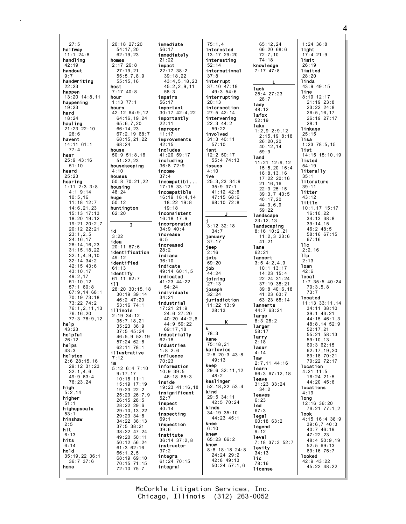27:5 halfway 11:1 24:8 handling 42:19 handout  $0.7$ handwriting  $22.23$ happen 13:20 14:8,11 happening 19:23 hard 18:24 hauling 21:23 22:10  $26.6$ havent 14:11 61:1 77:4 hear 25:9 43:16  $51:10$ heard 25:23 hearing 1:11 2:3 3:8 4:1 9:14 10:5,16 11:18 12:7 14:6,21,23 15:13 17:13 18:20 19:12 19:21 20:2,7 20:12 22:21 23:1,2,5 24:16,17 28:14,16,23 31:15,18,22 32:1,4,9,10 32:14 34:2 42:15 43:6 43:10,17 49:2,17 51:10,12 57:1 60:8 67:9,14 68:1 70:19 73:18 73:22 74:2 76:1,2,11,13 76:16,20 77:3 78:9,12 help 43:23 helpful  $26:12$ helps 43:3 helsten 2:6 28:15,16 29:12 31:23 32:1,4,6 49:9 63:4 76:23,24 high  $5:2.14$ higher 51:1 highupscale 53:1<br>**hinshaw** 2:5 hit 6:13 hits 6:14 hold 35:19,22 36:1 36:7 37:6 home 20:18 27:20 62:19,23 homes 2:17 26:8 55:15,16 host  $7.17 \, 40.8$ hour 1:13 77:1 hours 42:12 64:9,12 64:16,19,24 65:6,7,20 66:14,23 68:15,21,22 house 50:9 51:8,16 51:22,23 housekeeping 4:10 houses 50:8 70:21,22 housing 48:24 huge 50:12 huntington 62:20 id 3:22 idea 20:11 67:6 identification  $10.12$ identified 61:13 identify 61:11 62:7 ill 28:20 30:15,18 illinois 2:19 34:12 35:7,18,21 illustrative 7:12 im 5:12 6:4 7:10 9:17,17 50:12 56:24 66:1,2,5

54:17,20

27:19,21 55:5,7,8,9

68:24

I

30:19 39:14 46:2 47:20 53:16 74:1

35:23 36:9 37:5 45:24

57:24 62:8  $62 \cdot 11$  78:1

10:18 11:1 15:19 17:19 19:23 22:2

26:15 28:5 28:22 29:6 29:10,13,22 29:23 34:8 34:22 36:13 37:5 38:21 38:22 47:24 49:20 50:11

61:3 62:16

68:19 69:10 70:15 71:15 72:10 75:7

67:2,19 68:7 46:5,9 52:19 25:23 26:7,9 immediate 56:17 immediately 21:22 impact 22:17 38:2  $39:18.22$ 43:4,5,18,23 45:2,2,9,11 58:3 impairs 56:17 important 30:17 42:4,22 importantly 22:11 improper 11:17 improvements 42:15 includes 41:20 59:17 including 36:8 72:9 income 37:4 incompatibi ... 17:15 33:12 incompatible 16:19 18:4,14 18:22 19:8 19:18 inconsistent 16:18 17:9 incorporated 34:9 40:4 increase  $6:5$ increased 28:2 indiana 36:10 indicate 49:14 60:1,5 indicated 41:23 44:22 54:24 individuals 34:21 industrial 17:21 21:9 24:6 27:20 40:20 44:2,6  $44.9.59.22$ 69:17,18 industrially  $62.18$ industries 1:8 2:6 influence 70:23 information 10:9 39:5 46:18 65:3 inside 19:23 41:16,18 insignificant 52:7 inspect 40:14 inspecting 69:1 inspection 39:6 institute 36:14 37:2,8 instructor 37:2 integra 61:24 70:15 integral

75:1,4 interested 13:17 29:20 interesting 52:14 international  $37.8$ interrupt 37:10 47:19  $49:3$  54:6 interrupting 20:13 intersection 27:5 42:14 intervening 22:3 44:2 59:22 involved 31:3 40:11 57:10 isnt 12:2 50:17 55:4 74:13 issues 4:10 ive 25:3,23 34:9 35:9 37:1 41:12 42:8 47:15 68:6 68:10 72:8 J j 3:12 32:18 34:7 january 37:17 jeep 2:16 jets 69:20 job  $44:24$ joining 27:13 joseph 32:24 jurisdiction 11:22 13:9 28:13 K k 78:3 kane 75:18,21 karlovics 2:8 20:3 43:8 49:13 keep 29:6 32:11,12 48:2 keslinger 52:18,22 53:4 kind 29:5 34:11 42:5 70:24 kinds 34:19 35:10 44:23 45:1 knee  $6:10$ knew 65:23 66:2 know 8:8 18:18 24:8  $24.24$   $29.2$ 42:8 49:13 50:24 57:1,6

65:12,24 66:20 68:6 72:7,10 74:18 knowledge 7:17 47:8 L lack 25:4 27:23  $28.7$ lady 48:12 lafox 52:19 lake 1:2,9 2:9,12 2:15,19 8:18 26:20,20 40:12,14 59:9 land 11:21 12:9,12 15:5,20 16:4 16:8,13,16 17:22 20:16 21:16,16 22:3 25:15 39:3,7 40:5  $40.17,20$ 44:3,6,9 59:22 **landscape** 23:12,13 **landscaping** 8:16 10:2,21 11:2,3 23:6 41:21 lane 62:21 lannert 3:5 4:2,4,9 10:1 13:17 14:23 15:4 22:24 31:24 37:19 38:21 39:8 40:6,18 41:23 63:7 63:23 68:14 lannerts 44:7 63:21 large 8:3 28:2 larger 58:17 larry 2:18 laser 4:14 law 2:7,11 44:16 learn 66:3 67:12,18 leave 31:23 33:24  $34.2$ **leaves** 6:23 led 67:3 legal 60:18 63:2 legend 9:12 level 7:18 37:3 52:7 levity 34:13 lic 78:16 license 45:22 48:22

1:24 36:8 light  $17:4$  21:9 limit 26:19 limited  $28.20$ linda 43:9 49:15 line 8:19 12:17 21:19 23:8 23:22 24:8 26:5,16,17 26:19 27:17 28:1 linkage 25:15 lisa 1:23 78:5,15 list 14:15 15:10,19 listed 54:19 literally 35:1 literature 39:11 litter 43:12 little 10:1,17 15:17 16:10,22 34:13 38:8 39:14,15 46:2 48:5 58:16 67:15 67:16 llc  $2:2.16$ llp 2:13 loan 42:6 local 1:7 35:5 40:24 70:3,5,8 73:7 located 11:13 33:11,14 34:11 38:10 39:1 43:21 44:15 46:1,3  $48.8, 14.52.9$ 52:17,21 55:21 58:13 59:10,13 60:3 62:15 62:17,19,20 69:18 70:21 70:22 72:17 location 4:21 11:5 16:24 21:5 44:20 45:6 locations 4:19 long 12:16 36:20 76:21 77:1,2 look 4:15 16:4 38:9 39:6,7 40:3 40:7 46:19 47:22,23 48:4 50:9,19 52:5 69:13 69:16 75:7 looked 42:9 43:22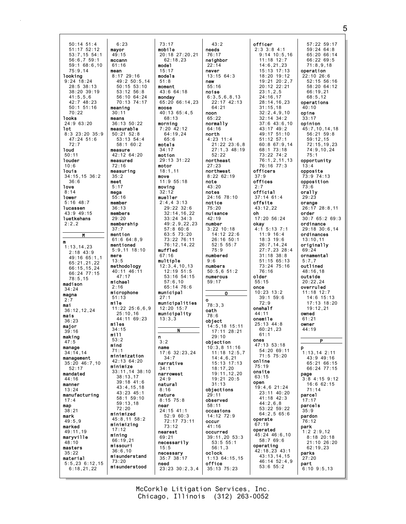50:14 51:4 51:17 52:12 53:7,15 54:1 56:6,7 59:1 59:1 68:6,10 75:9,14 looking 9:24 18:24 28:5 38:13 38:20 39:19 41:5,5,6 42:7 48:23 50:1 51:16 70:22 looks 24:9 63:20 lot 8:3 23:20 35:9 47:24 51:6 72:7 loud 50:11 louder  $10.6$ louis 34:15,15 36:2 36:6 love 8:14 lower 5:16 48:7 lucassen 43:9 49:15 luetkehans  $2:2.2$ M m  $\overline{1:13.14.23}$ 2:18 43:9  $49.16$  65.1,1 65:21,21,22 66:15,15,24 66:24 77:15 78:5,15 madison  $34.24$ magna 2:7 mai 36:12,12,24 mais 36:23 major 39:16 making 47:5 manage 34:14,14 management 35:20 46:7,10 52:17 mandated 44:16 manner 13:24 manufacturing 17:4 map  $38:21$ mark  $49.59$ marked 49:11,19 maryville 48:10 masters 35:22 material 5:5,23 6:12,15  $6:18.21.22$ mayor 49:15 mccann 61:16 mean  $8:17$  29:16 meaning 30:11 means measurable  $50.21$   $52.8$ measure measured 72:16 measuring 35:2 meet 5:17 mega 55:16 member 36:13 members 29:20 membership 37:7 mention mentioned mere 13:5 methodology michael 2:16 microphone 51:13 mile miles 34:15 mill  $53.2$ mind 71:1 minimize minimized minimizing 17:12 mining 66:19,21 missouri 36:6,10 73:20

47:17

25:10,16

59:13,18 72:20

6:23

49:2 50:5,14 50:15 53:10 53:12 56:8 56:10 64:24 70:13 74:17 36:13 50:22 53:13 54:4 58:1 60:2 42:12 64:20 61:6 64:8,9 5:9,11 18:10 40:11 46:11 11:22 25:6,6,9 44:11 69:23 minimization 42:13 64:20 33:11,14 38:10 38:13,17 39:18 41:6 43:4,15,18 43:23 45:1 58:1 59:10 45:8,11 58:2 misunderstand misunderstood 73:17 mobile 20:18 27:20,21 62:18,23 model 15:17 models 51:8 moment  $43.6$  64.18 monday 65:20 66:14,23 moose 40:13 65:4,5 68:13 morning 7:20 42:12  $64.19,24$  $65.6$ motels  $34:17$ motion 29:13 31:22 motor 18:1,11 move 11:9 55:18 moving 32:12 mueller 2:4,4 3:13 29:22 32:6 32:14,16,22 33:24 34:3 49:2,9,22,23 57:8 60:6 63:5 73:20 73:22 76:11 76:12,14,22 muffled 67:16 multiple  $12:3,4,10,13$ 12:19 51:5 53:16 54:15 57:6,10 65:14 76:6 municipal  $27:1$ municipalities 12:20 15:7 municipality 13:3,3 N n 3:2 name 17:6 32:23,24 34:7 narrative 34:1 narrowest 24:9 natural 8:16 nature 8:15 75:8 near 24:15 41:1 52:9 60:3 72:17 73:11 73:12 nearest 69:21 necessarily 15:5 necessary 35:7 38:17 need 23:23 30:2,3,4

43:2 needs 76:17 neighbor 22:14 never  $13:15.64:3$ new 55:16 noise 6:3,5,6,8,13 22:17 42:13 64:21 noon 65:22 normally 64:16 north 4:23 11:4 21:22 23:6,8 27:1,3 48:19 52:22 northeast 27:23 northwest 8:22 62:19 note 43:20 notes 24:16 78:10 notice 75:20 nuisance 42:19 number 3:22 10:18 14:12 22:6 26:16 50:1 52:5 55:7 75:9 numbered 9:6 numbers 50:5,6 51:2 numerous 59:17 O o 78:3,3 oath 78:6 object 14:5,18 15:11 17:11 28:21 29:10 objection 10:3,8 11:16 11:18 12:5,7 14:4,6,21 15:13 17:13 18:17,20 19:11,12,20 19:21 20:5 31:13 objections 29:11 observed 58:11 occasions 14:12 72:9 occur 41:16 occurred 39:11,20 53:3 53:5 55:1 56:1,3 oclock 1:13 64:15,15 office 35:13 75:23

officer 2:3 3:8 4:1 9:14 10:5,16 11:18 12:7 14:6,21,23 15:13 17:13 18:20 19:12 19:21 20:2,7 20:12 22:21  $23:1,2,5$ 24:16,17 28:14,16,23 31:15,18 32:2,4,9,10 32:14 34:2 37:6 43:6,10 43:17 49:2  $49.17$  51.10 51:12 57:1 60:8 67:9,14 68:1 73:18 73:22 74:2 76:1,2,11,13 76:16 77:3 officers 37:9 offices 2:7 official 37:14 61:4 offsite 43:12,22 oh 17:20 56:24 okay 4:1 5:13 7:1 11:9 16:4 18:3 19:6 26:7,14,24 27:7,23 28:4 31:18 38:8 51:15 65:13 73:24 75:16 76:16 older 55:15 once 10:23 13:2 39:1 59:6 72:9 onehalf 44:11 onemile  $25 \cdot 13$   $44 \cdot 8$ 60:21,23  $61:1$ ones 47:13 53:18 54:20 69:11 71:5 75:20 online 75:19 onsite 63:15 open 19:4,6 21:24 23:11 40:20 41:18 42:3 44:2,6,8 53:22 59:22 64:2,5 65:6 operate 67:19 operated 45:24 46:6,10 58:7 69:6 operating 42:18,23 43:1 43:13,14,15 46:14 52:4,9 53:6 55:2

57:22 59:17 59:24 64:8 65:20 66:14 66:22 69:5 71:8,9,18 operation 22:10 26:6 52:15 56:16 58:20 64:12 66:19,21 68:5,12 operations  $40.10$ opine 33:17 opinion 45:7,10,14,18  $56.21.59.8$ 59:12,15 72:15,19,23 74:9,10,24 75:1 opportunity 13:4 opposite 73:9 74:13 opposition 73:6 orally 29:23 orange 26:17 28:8,11 order 30:7 65:2 69:3 ordinance 29:18 30:6,14 ordinances 13:10,11 originally 69:24 ornamental 5:7,7 outlined 48:16,18 outside 20:22,24 overruled 11:18 12:7 14:6 15:13 17:13 18:20  $19:12.21$ owned 61:21 owner 44:19  $\overline{P}$ p 1:13,14 2:11 43:9 49:16 65:21 66:15 66:24 77:15 page 3:8 4:15 9:12 16:6 62:15 71:14 parcel 17:17 parcels 35:9 pardon 76:12 park 1:2 2:9,12 8:18 20:18 21:10 26:20 62:19,23 parks 27:20 part  $6:10$  9:5,13

Chicago, Illinois (312) 263-0052 McCorkle Litigation Services, Inc. 5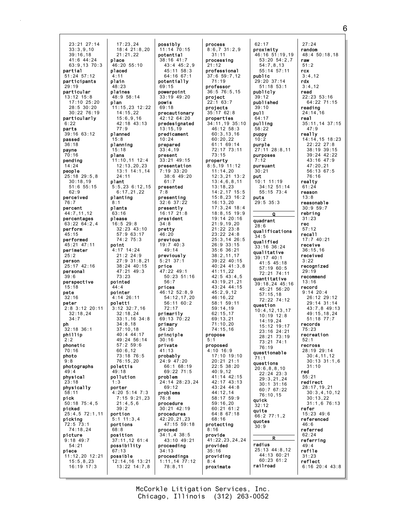23:21 27:14 33:3,9,10 39:16,18 41:6 44:24 63:9,13 70:3 partial 51:24 57:12 participants  $29.19$ particular 13:12 15:8 17:10 25:20 28:5 30:20 30:22 76:19 particularly  $6:22$ parts 39:16 63:12 passed 36:18 payne 70:16 pending 14:24 people 25:18 29:5,8 30:18,19 51:6 55:15 62:9 perceived 76:7 percent 44:7,11,12 percentages 63:22 64:2,4 perform 45:15 performed 45:21 47:11 perimeter 25:2 person 25:17 42:16 personal 39:6 perspective 15:18 pete  $32.16$ peter 2:8 3:12 20:11 32:18,24 34:7 ph 32:18 36:1 phillip  $2.2$ phonetic 70:16 photo 9:8 photographs 49:4 physical 23:18 physically 58:11 pick 50:18 75:4,5 picked 25:4,5 72:1,11 picking 72:5 73:1 74:18,24 picture 9:18 49:7 54:21 piece 11:12,20 12:21 15:5,8,23 16:19 17:3 place placed 4:11 plain 48:23 plaines plan 77:9 planned  $5:8$ planning 15:18 plans 24:11 plant planting 8:1 plants 63:16 please point 73:23 pointed 44:4 pointer poletti polettis 49:18 pollution 1:3 porter 39:2 portion portions 68:8 position 67:13 possible

17:23,24 18:4 21:8,20 21:21,22 46:20 55:10 48:9 58:14 11:15,23 12:22 14:15,22 15:6,9,16 42:18 43:13 11:10,11 12:4 12:13,20,23 13:1 14:1,14 5:5,23 6:12,15 6:17,21,22 16:5 29:8 32:23 43:10 57:9 63:17 74:2 75:3 4:17 14:24 21:2 24:9 27:9 31:8,21 38:24 40:15 47:21 49:3 4:14 26:11 3:12 32:7,16 32:18,24 33:1,16 34:8  $34.8,18$ 37:10,18 40:4 44:17 49:24 56:14 57:2 59:6 60:6,12 73:18 76:5 76:15,20 4:20 5:14 7:3 7:15 9:21,23 21:4,5,6 5:1 11:3,4 37:11,12 61:4 possibility 12:14,16 13:21 13:22 14:7,8 possibly 11:14 70:15 potential 38:16 41:7 potentially 69:15 powerpoint 33:19 49:20 powis 69:18 precautionary 42:12 64:20 predesignated 13:15,19 predicament 10:24 prepared 33:4,19 present 33:21 49:15 presentation 7:19 33:20 61:7 presented 7:8 presenting 32:6 37:22 presently 16:17 21:8 president 34:8 pretty 46:20 previous 19:7 40:3 49:14 previously 5:21 37:1 price 47:22 49:1 56:7 prices 46:12 52:8,9 72:17 primarily 69:13 70:22 primary 54:20 principle 30:16 private 41:13 probably 24:9 47:20 problem 69:12 problems 76:8 procedure 30:21 42:19 procedures 42:20,21,23 proceed 34:1,4 38:5 proceeding 34:13 proceedings 78:8,11

43:4 45:2,9 45:11 58:3 64:16 67:1 38:6 49:20 50:23 51:16 54:12,17,20 56:11 60:2 66:1 68:19 69:22 71:5 24:14 28:23,24 47:15 59:18 43:10 49:21 1:11,14 77:12 process 31:11 processing 21:12 professional 71:19 professor project 22:1 63:7 projects 35:17 62:8 properties 60:20,22 73:15 property 13:18,23  $46.16,22$ 59:14,19 62:15,17 69:13,21 71:10,20 74:15,16 propose  $5:1$ proposed 4:10 16:9 40:9,12 68:16 protecting 8:16 provide provided 35:16 providing 8:4 proximate

8:6,7 31:2,9 37:6 59:7,12 36:5 76:5,15 34:11,19 35:10 46:12 58:3 60:3,13,16 61:1 69:14 72:17 73:11 8:5,19 11:12 11:14,20 12:3,21 13:2 13:4,6,8,11 14:2,17 15:5 15:8,23 16:2 16:13,20 17:3,24 18:4 18:8,15 19:9 19:14 20:16 21:9,19,20 21:22 23:8 23:22 24:8 25:3,14 26:5 26:9 33:15 35:6 36:21 38:2,11,17 39:22 40:15 40:24 41:3,8 41:11,22 42:5 43:4,5 43:19,21,21 43:24 44:15 45:2,9,12 58:1 59:11 17:10 19:10 20:21 21:1 22:5 38:20 41:14 42:15 42:17 43:13 43:24 44:8 44:12,14 58:17 59:9 59:16,20 60:21 61:2 64:8 67:18 41:22,23,24,24 62:17 proximity public publicly 39:12 published  $39:10$ pull 64:17 pulling 58:22 puppy 10:2 purple purposes 7:12 pursuant 30:21 put 10:1 11:19 puts 29:5 35:3 quadrant 28:6 34:5 qualified qualitative 39:17 40:1 question 76:19 71:1 questions quick 32:12 quite quotes 30:9 radius railroad

46:16 51:19,19 53:20 54:2,7 54:7,8,13 55:14 57:11 29:20 37:14 51:18 53:1 27:11 28:8,11 34:12 51:14 55:15 73:4 qualifications 33:16 36:24 41:5 45:18 57:19 60:5 72:21 74:11 quantitative 39:18,24 45:16  $45 \cdot 21$  56:20 57:15,18 72:22 74:12 10:4,12,13,17 10:19 12:8 14:19,24 15:12 19:17 23:16 24:21 28:21 73:19 73:21 74:1 questionable 20:6,8,8,10 22:24 23:3 29:3,21,24 30:1 31:16 60:7 67:22 76:10,15 66:2 77:1,2 25:13 44:8,12 44:13 60:21 60:23 61:2 27:24 random 48:4 50:18,18 raw  $51:2$ rcx  $3:4.12$ rdx 3:4,12 read 22:23 53:16 64:22 71:15 reading 24:14,16 real 35:11,14 37:15 47:9 really 14:14,15 18:23 22:22 27:8 38:19 39:15 39:24 42:22 43:16 47:9 47:20,21 56:13 67:5 76:16 realty 61:24 reason 13:8 reasonable 30:9 59:7 rebring 31:23 rec 57:12 recall 17:7 40:21 receive 36:15,16 received 3:22 recognized 29:19 recommend 13:16 record 9:14 20:4 26:12 29:12 29:14 31:14 43:7,8 49:13 49:15,18,24 51:18 77:7 records 75:23 recreation  $52:1$ recross 28:19 29:14 30:4,11,12 30:13 31:1,6 31:10 red 55:21 redirect 28:17,19,21 30:3,4,10,12 30:13,22 31:1,6 76:13 refer 15:23 49:6 referenced 46:6 referred 62:24 referring 49:4 refile 31:23 reflect 6:16 20:4 43:8

Q

R

Chicago, Illinois (312) 263-0052 McCorkle Litigation Services, Inc. 6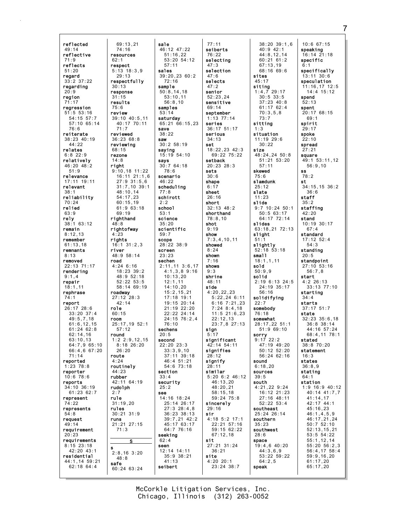reflected 49:14 reflective 71:9 reflects 51:20 regard 33:2 37:22 regarding  $20.9$ region 71:17 regression 51:5 53:16 54:15 57:7 57:10 65:14 76:6 reiterate 38:23 40:19  $44.22$ relates 6:8 22:9 relatively 46:20 48:2 51:9 relevance 17:11 19:11 relevant 38:1 reliability 70:24 relied 63:9 rely 38:1 63:12 remain 8:12,13 remember 61:13,18 remnants 8:13 removed 22:13 71:17 rendering 9:1,4 repair 18:1,11 rephrase  $71.7$ report 26:17 28:6 33:20 37:4 49:5,7,18 61:6,12,15 61:24 62:8 62:14,16  $63 \cdot 10$ , 13 64:7,9 65:10 66:4,6 67:20 71:14 reported 1:23 78:8 reporter 10:6 78:6 reports 34:10 36:19 61:23 62:7 represent 74:22 represents 54:8 request  $49:14$ requirement 20:23 requirements 8:15 23:18 42:20 43:1 residential 44:1,14 59:21 62:18 64:4

69:13,21 74:16 resources 62:1 respect 5:13 18:3,9  $29:13$ respectfully 30:13 response 31:15 results 75:6 review 39:10 40:5,11 40:17 70:11 71:7 reviewed 36:23 68:8 reviewing 68:15 rezone 14:8 right 9:10,18 11:22 16:11 21:1,6 27:9 31:5,6 31:7,10 39:1 48:10,14 54:17,23 60:15,19 61:9 63:18 69:19 righthand 48:8 rightofway 4:23 rights 16:1 31:2,3 river 48:9 58:14 road 4:24 6:16 18:23 39:2 48:9 52:18 52:22 53:5 58:14 69:19 roadway 27:12 28:3 42:14 role 60:15 room 25:17,19 52:1 57:12 round  $1:2,2:9,12,15$  $8.1826.20$  $26:20$ route 4:24 routinely 44:23 rubber 42:11 64:19 rudolph 2:7 rule 31:19,20 rules 30:21 31:9 runs 21:21 27:15 71:3 S 2:8,16 3:20 48:8 safe 60:24 63:24 sale sales sample samples 53:14 save 38:22 saw saying says scenario schirott school 53:1 science 35:20 59:7 scope screen 23:23 sechen sechens  $20:5$ second section 33:4 security 25:2 see seeking 62:4 seen seibert

57:11

72:16

78:6

46:22

77:8

2:2

76:10

41:13

s

46:12 47:22 51:16,22  $53:20$  54:12 39:20,23 60:2 50:8,14,18 53:10,11 56:8,10 saturday 65:21 66:15,23 30:2 58:19 15:19 54:10 30:7 64:18 scheduling scientific 28:22 38:9 2:11,11 3:6,17 4:1,3,8 9:16 10:13,20 12:1,11 14:10,20 15:2,15,21 17:18 19:1 19:15 20:14 21:19 22:20 22:22 24:14 24:15 76:2,4 22:20 23:3 33:3,9,10 37:11 39:18 46:4 51:21 54:6 73:18 14:16 18:24 25:14 26:17 27:3 28:4,8 36:23 38:13 39:7,21 42:2 45:17 63:17 64:7 76:16 12:14 14:11 35:9 38:21 77:11 seiberts 76:22 selecting 47:3 selection  $47.6$ selects  $47:2$ senior 52:23,24 sensitive  $69.14$ september 1:13 77:14 series 36:17 51:17 serious 34:13 set 18:22,23 42:3 69:22 75:22 setback 20:23 28:3 sets 30:6 shape 6:17 sheet 26:16 short 32:13 48:2 shorthand 78:8,10 shot 9:19 show 7:3,4,10,11 showed 8:24 shown 7:16 shows 9:3 shrine 48:11 side 4:20,22,23 5:22,24 6:11  $6:16$   $7:21.23$ 7:24 8:4,18 11:5 21:6,23 22:12,13 23:7,8 27:13 sign 5:17 significant 42:14 54:11 signifies  $28.12$ signify 28:11 similar 5:20 6:2 46:12 46:13,20 48:20,21 58:15,18 59:24 75:8 sincerely 29:16 sir 4:18 5:2 17:1 22:21 57:16 59:15 62:22 67:12,18 sit 27:21 31:24 36:21 site 4:20 20:1 23:24 38:7

38:20 39:1,6 40:9 42:1 44:8,12,14 60:21 61:2 67:13,19 68:16 69:6 sites 45:17 siting 1:4,7 29:17 30:5 33:5 37:23 40:8 61:17 62:4 70:3,5,8 73:7 sitting 1:3 situation 11:19 29:6  $30.22$ size 48:24,24 50:8 51:21 53:20 57:11 skewed 75:6 slamdunk 25:12 slate 11:23 slide 9:7 10:24 50:1 50:5 63:17 64:17 72:14 slides 63:18,21 72:13 slight 51:1 slightly 52:18 53:18 small 18:1,1,11 sold 50:9,9 solid 2:19 6:13 24:5 24:19 35:17 56:16 solidifying 22:7 somebody 76:18 somewhat 28:17,22 51:1 51:9 69:10 sorry 9:17 22:2 47:19 49:20 50:12 52:20 56:24 62:16 sound 6:18,20 sources 39:5 south 4:21,22 9:24 16:12 21:23 27:16 48:11 52:22 53:4 southeast 25:24 26:14 southern 35:23 southwest 28:6 space 19:4,6 40:20 44:3,6,9 53:22 59:22 64:2,5 speak

10:6 67:15 speaking 16:14 21:18 specific 6:1 specifically  $13 \cdot 11$   $30 \cdot 6$ speculation 11:16,17 12:5 14:4 15:12 spend 52:13 spent 20:17 68:15 69:1 spirit 29:17 spoke 22:10 spread 27:21 square 49:1 53:11,12 56:9,10 ss 78:2 st 34:15,15 36:2 36:6 staff  $35:2$ staffing 42:20 stand 10:19 30:17 67:4 standard 17:12 52:4 54:3 standing 20:5 standpoint 27:10 53:16 56:7,8 start 4:2 26:13 33:13 77:10 starting  $34 \cdot 4$ starts 37:17 51:7 state 32:23 35:6,18 36:8 38:14 44:16 57:24 68:4,11 78:1 stated 38:8 70:20 statement 16:3 states 36:8,9 stating 64:1 station 1:9 16:9 40:12 40:14 41:7,7 41:14,17 42:17 44:1 45:16,23 46:1,4,5,9 46:17,21,24 50:7 52:10 52:13,15,21 53:5 54:22 55:1,12,14 55:20 56:2,3 56:4,17 58:4 59:9,16,20 61:17,20 65:17,20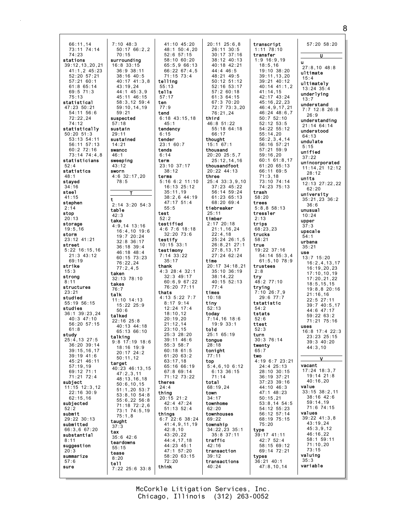66:11,14 73:11 74:14 74:23 stations 39:12,13,20,21 41:1,2 45:23 52:20 57:21 57:21 60:1 61:8 65:14  $69.571.3$ 75:13 statistical 47:23 50:21 54:11 56:6 72:22,24 74:12 statistically 50:20 51:3 53:13 54:11 56:11 57:13 60:2 72:16 73:14 74:4,8 statisticians  $52.4$ statistics 48:1 stayed 34:16 steel 41:15 stephen 2:14 stop 20:13 storage 19:5,16 storm 23:12 41:21 street 5:22 16:15,16 21:3 43:12 69:19 strike 15:3 strong 8:11 structures 23:21 studied 55:19 56:15 studies 36:1 39:23,24 40:3 47:10 56:20 57:15 61:8 study 25:4,13 27:5 36:20 39:14 39:15,16,17 39:19 41:6 45:21 46:11 57:19,19 69:12 71:1 71:21 72:4 subject 11:15 12:3,12 22:16 30:9 62:15,16 subjected  $52:2$ submit 29:22 30:13 submitted 66:3,6 67:20 substantial 8:11 suggestion 20:3 summarize 57:6 sure 7:10 48:3 surrounding 16:8 33:15 suspected 57:18 sustain  $29:11$ sustained 14:21 swancc 46:1 sweeping 43:12 sworn 4:6 32:17,20 t table  $42.3$ take taken 32:13 78:10 takes 76:7 talk 11:10 14:13 talked 22:16 25:8 talking target taught 37:3 tax 35:6 42:6 teardowns 55:15 tease 8:20 tell

70:15

36:9 38:11 38:16 40:5

43:19,24

59:21

78:5

T

19:7 20:24 32:8 36:17 36:18 39:4 46:18 48:4

76:22,24 77:2,4,5

15:22 25:9  $50.6$ 

18:16 19:9 20:17 24:2 50:11,12

47:2,3,11

50:6,10,15

75:1,8

50:17 66:2,2 40:17 41:3,8  $44 \cdot 1 \quad 45 \cdot 3 \quad 9$ 45:11 46:15 58:3,12 59:4 59:10,14,19 2:14 3:20 54:3 4:9,14 13:16 16:4,10 19:6 60:15 73:23 40:13 44:18 65:13 66:10 9:8 17:19 18:6 40:23 46:13,15 48:13,16,18 51:1,20 53:7 53:8,10 54:8 55:6,22 56:8 71:18 72:2,6 73:1 74:5,19 7:22 25:6 33:8 41:10 45:20 48:1 50:4,20 52:6 57:15 58:10 60:20 65:5,9 66:13 66:22 67:4,5 71:15 73:4 telling 55:13 tells 57:17 ten 77:9 tend 6:18 43:15,18 45:1 tendency  $6.15$ tender 23:1 60:7 tends 6:14 term 23:10 37:17 38:12 terms 5:16 6:2 11:10 16:13 25:12 35:11,19 38:2,6 44:19 47:17 51:4 55:5 test 52:2 testified 4:6 7:6 18:18 32:20 73:6 testify 10:15 33:1 testimony 7:14 33:22 35:17 thank 4:3 28:4 32:1 32:3 49:17 60:6,9 67:22 76:20 77:11 thats 4:13 5:22 7:7 8:17 9:14 12:24 17:4 18:10,12 20:19,20  $21:12,14$ 23:10,15 25:3 28:20 39:11 46:6 55:3 58:7 60:18 61:5  $61:20.63:2$ 63:17,18 65:16 66:19 67:8 69:14 71:12 73:22 theres  $24:4$ thing 20:15 21:2 42:4 47:24 51:13 52:4 things 6:7 22:6 38:24 41:4,9,11,19 42:8,10 43:20,22 44:4,17,18 44:23 45:1 47:1 57:20 58:20 63:15 72:20 think

20:11 25:6,8 26:11 30:5 30:17 37:16 38:12 40:13 40:18 42:21 44:4 46:5  $48.21$   $49.5$ 50:12 51:12 52:16 53:17  $57:260:18$ 61:3 64:15 67:3 70:20 72:7 73:3,20 76:21,24 third 46:8 51:22 55:18 64:18 66:17 thought 15:1 67:1 thousand 20:20 25:5,7 25:12,14,16 thousandfoot 20:22 44:13 three 25:4 33:3,9,10 37:23 45:22 56:14 59:24 61:23 65:13 68:20 69:4 tiebreaker 25:11 timber 2:17 20:18  $21:1,16,24$ 22:4,18 25:24 26:1,5 26:8,21 27:1 27:8,13,17 27:24 62:24 time 20:17 34:18,21 35:10 36:19 38:14,22 40:15 52:13 77:4 times  $10.18$ tiny 52:13 today 7:14,16 18:6 19:9 33:1 told 25:1 65:19 tongue  $28.18$ tonight 77:11 top 5:4,6,10 6:12 6:13 36:15 71:14 total 68:19,24 town 34:17 townhome 62:20 townhouses 69:22 township 34:22,23 35:1 35:8 37:11 traffic 42:16 transaction 39:12 transactions 40:24

transcript 1:11 78:10 transfer 1:9 16:9,19 18:5,16 19:10 38:20 39:11,13,20 39:21 40:12 40:14 41:1,2  $41 \cdot 14$ , 15 42:17 43:24 45:16,22,23 46:4,9,17,21 46:24 48:6,7 50:7 52:10 52:12 53:5 54:22 55:12  $55 \cdot 14,20$ 56:2,3,4,14 56:16 57:21 57:21 59:9 59:16,20 60:1 61:8,17 61:20 65:13 66:11 69:5 71:3,18 73:10 74:14 74:23 75:13 trash 58:20 trees 5:8,8 58:13 tressler 2:13 trips 68:23,23 trucks 58:21 true 19:22 37:16 54:14 55:3,4 61:5,10 78:9 trustees 2:8 try 48:2 77:10 trying 7:10 26:7,9 29:6 77:7 tstatistic  $54.2$ tstats 52:6 ttest 52:3 turn 30:3 76:14 twenty 65:7 two 4:19 6:7 23:21 24:4 25:13 28:10 30:15 36:19 37:21 37:23 39:16 44:10 46:3 47:1 48:23 50:15,21 53:8,14 54:5 54:12 55:23 56:12 57:14 68:19 75:15 75:20 type 39:17 41:11 42:7 52:4 58:15 69:12 69:14 72:21 types 36:21 40:1 47:8,10,14 u use

57:20 58:20 U  $27.8$  10  $48.8$ ultimate 15:4 ultimately 13:24 35:4 underlying  $13:7$ understand 7:7 12:8 26:8 26:9 understanding 21:14 64:14 understood 64:13 undulate 5:15 unified 37:22 unincorporated 11:14,21 12:12 28:12 units 12:13 27:22,22 62:20 university 35:21,23 36:2 36:6 unusual 10:24 upper 37:3 upscale 54:1 urbana 35:21  $13:7$  15:20 16:2,4,13,17 16:19,20,23 17:10,10,19 17:20,21,22 18:5,15,15 19:8,8 20:16 21:16,16 22:5 27:11 39:7 40:5,17 44:6 47:17 59:22 63:2 71:21 75:16 uses 16:8 17:4 22:3 23:23 25:15 39:3 40:20 44:3,10  $\overline{\mathsf{v}}$ vacant 17:24 18:3,7 19:14 21:8 40:16,20 value 33:15 38:2,11 38:16 42:6 59:14,19 71:6 74:15 values 39:22 41:3,8 43:19,24  $45:3.9.12$ 46:16,22 58:1 59:11 71:10,20 73:15 valuing 35:3 variable